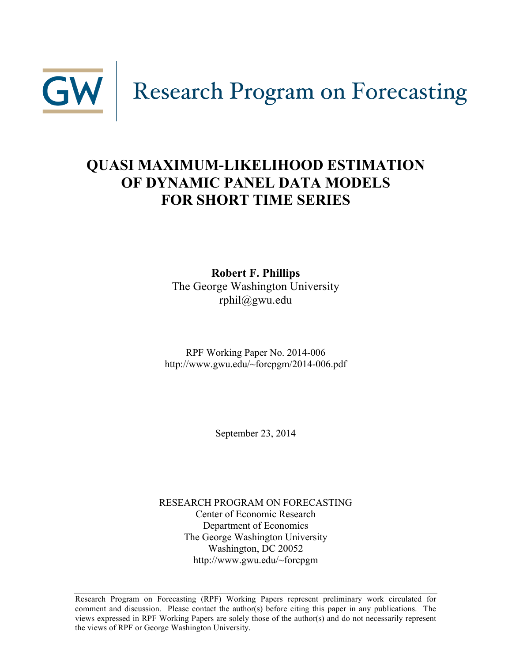

# **QUASI MAXIMUM-LIKELIHOOD ESTIMATION OF DYNAMIC PANEL DATA MODELS FOR SHORT TIME SERIES**

**Robert F. Phillips** The George Washington University rphil@gwu.edu

RPF Working Paper No. 2014-006 http://www.gwu.edu/~forcpgm/2014-006.pdf

September 23, 2014

RESEARCH PROGRAM ON FORECASTING Center of Economic Research Department of Economics The George Washington University Washington, DC 20052 http://www.gwu.edu/~forcpgm

Research Program on Forecasting (RPF) Working Papers represent preliminary work circulated for comment and discussion. Please contact the author(s) before citing this paper in any publications. The views expressed in RPF Working Papers are solely those of the author(s) and do not necessarily represent the views of RPF or George Washington University.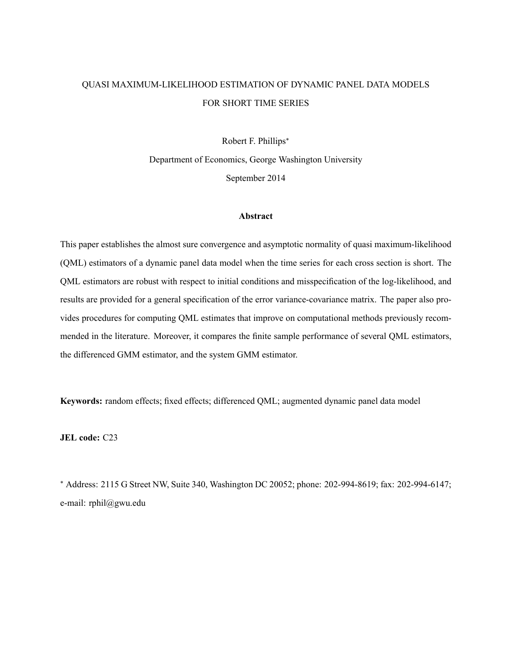## QUASI MAXIMUM-LIKELIHOOD ESTIMATION OF DYNAMIC PANEL DATA MODELS FOR SHORT TIME SERIES

Robert F. Phillips

Department of Economics, George Washington University September 2014

## Abstract

This paper establishes the almost sure convergence and asymptotic normality of quasi maximum-likelihood (QML) estimators of a dynamic panel data model when the time series for each cross section is short. The QML estimators are robust with respect to initial conditions and misspecification of the log-likelihood, and results are provided for a general specification of the error variance-covariance matrix. The paper also provides procedures for computing QML estimates that improve on computational methods previously recommended in the literature. Moreover, it compares the finite sample performance of several QML estimators, the differenced GMM estimator, and the system GMM estimator.

Keywords: random effects; fixed effects; differenced QML; augmented dynamic panel data model

JEL code: C23

 Address: 2115 G Street NW, Suite 340, Washington DC 20052; phone: 202-994-8619; fax: 202-994-6147; e-mail: rphil@gwu.edu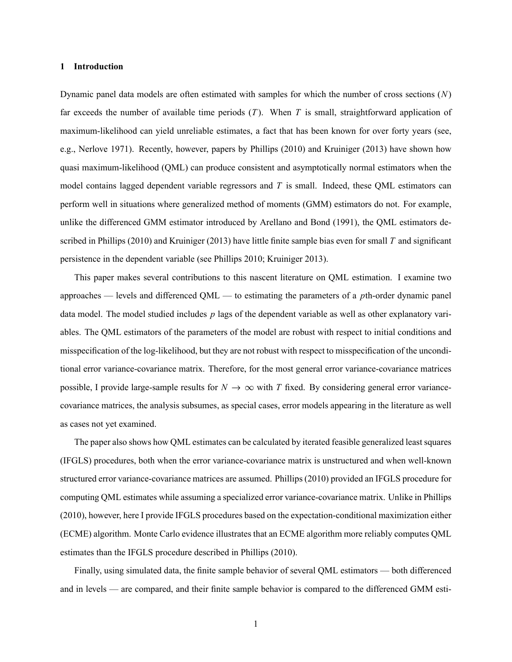## 1 Introduction

Dynamic panel data models are often estimated with samples for which the number of cross sections  $(N)$ far exceeds the number of available time periods  $(T)$ . When T is small, straightforward application of maximum-likelihood can yield unreliable estimates, a fact that has been known for over forty years (see, e.g., Nerlove 1971). Recently, however, papers by Phillips (2010) and Kruiniger (2013) have shown how quasi maximum-likelihood (QML) can produce consistent and asymptotically normal estimators when the model contains lagged dependent variable regressors and  $T$  is small. Indeed, these QML estimators can perform well in situations where generalized method of moments (GMM) estimators do not. For example, unlike the differenced GMM estimator introduced by Arellano and Bond (1991), the QML estimators described in Phillips (2010) and Kruiniger (2013) have little finite sample bias even for small T and significant persistence in the dependent variable (see Phillips 2010; Kruiniger 2013).

This paper makes several contributions to this nascent literature on QML estimation. I examine two approaches  $-$  levels and differenced QML  $-$  to estimating the parameters of a pth-order dynamic panel data model. The model studied includes  $p$  lags of the dependent variable as well as other explanatory variables. The QML estimators of the parameters of the model are robust with respect to initial conditions and misspecification of the log-likelihood, but they are not robust with respect to misspecification of the unconditional error variance-covariance matrix. Therefore, for the most general error variance-covariance matrices possible, I provide large-sample results for  $N \to \infty$  with T fixed. By considering general error variancecovariance matrices, the analysis subsumes, as special cases, error models appearing in the literature as well as cases not yet examined.

The paper also shows how QML estimates can be calculated by iterated feasible generalized least squares (IFGLS) procedures, both when the error variance-covariance matrix is unstructured and when well-known structured error variance-covariance matrices are assumed. Phillips (2010) provided an IFGLS procedure for computing QML estimates while assuming a specialized error variance-covariance matrix. Unlike in Phillips (2010), however, here I provide IFGLS procedures based on the expectation-conditional maximization either (ECME) algorithm. Monte Carlo evidence illustrates that an ECME algorithm more reliably computes QML estimates than the IFGLS procedure described in Phillips (2010).

Finally, using simulated data, the finite sample behavior of several QML estimators — both differenced and in levels — are compared, and their finite sample behavior is compared to the differenced GMM esti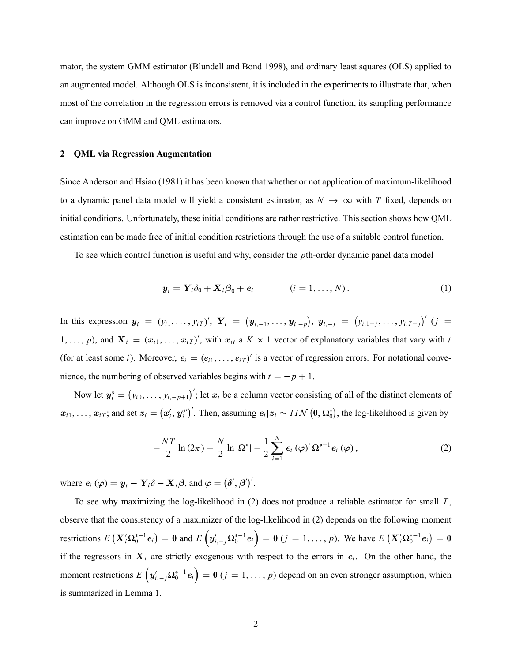mator, the system GMM estimator (Blundell and Bond 1998), and ordinary least squares (OLS) applied to an augmented model. Although OLS is inconsistent, it is included in the experiments to illustrate that, when most of the correlation in the regression errors is removed via a control function, its sampling performance can improve on GMM and QML estimators.

#### 2 QML via Regression Augmentation

Since Anderson and Hsiao (1981) it has been known that whether or not application of maximum-likelihood to a dynamic panel data model will yield a consistent estimator, as  $N \to \infty$  with T fixed, depends on initial conditions. Unfortunately, these initial conditions are rather restrictive. This section shows how QML estimation can be made free of initial condition restrictions through the use of a suitable control function.

To see which control function is useful and why, consider the pth-order dynamic panel data model

$$
\mathbf{y}_i = \mathbf{Y}_i \delta_0 + \mathbf{X}_i \boldsymbol{\beta}_0 + \boldsymbol{e}_i \qquad (i = 1, \ldots, N). \qquad (1)
$$

In this expression  $y_i = (y_{i1}, \ldots, y_{iT})'$ ,  $Y_i = (y_{i,-1}, \ldots, y_{i,-p})$ ,  $y_{i,-j} = (y_{i,1-j}, \ldots, y_{i,T-j})'$   $(j =$ 1, ..., p), and  $X_i = (x_{i1}, \ldots, x_{iT})'$ , with  $x_{it}$  a  $K \times 1$  vector of explanatory variables that vary with t (for at least some *i*). Moreover,  $e_i = (e_{i1}, \ldots, e_{iT})'$  is a vector of regression errors. For notational convenience, the numbering of observed variables begins with  $t = -p + 1$ .

Now let  $y_i^o = (y_{i0}, \ldots, y_{i,-p+1})'$ ; let  $x_i$  be a column vector consisting of all of the distinct elements of  $x_{i1}, \ldots, x_{iT}$ ; and set  $z_i = (x'_i, y_i^o)'$ . Then, assuming  $e_i | z_i \sim IIN(0, \Omega_0^*)$ , the log-likelihood is given by

$$
-\frac{NT}{2}\ln\left(2\pi\right)-\frac{N}{2}\ln\left|\Omega^{*}\right|-\frac{1}{2}\sum_{i=1}^{N}e_{i}\left(\varphi\right)^{\prime}\Omega^{*-1}e_{i}\left(\varphi\right),\qquad \qquad (2)
$$

where  $e_i (\varphi) = \mathbf{y}_i - \mathbf{Y}_i \delta - \mathbf{X}_i \beta$ , and  $\varphi = (\delta', \beta')'$ .

To see why maximizing the log-likelihood in  $(2)$  does not produce a reliable estimator for small  $T$ , observe that the consistency of a maximizer of the log-likelihood in (2) depends on the following moment restrictions  $E(X_i' \Omega_0^{*-1} e_i) = 0$  and  $E(Y_{i,-j} \Omega_0^{*-1} e_i) = 0$   $(j = 1, ..., p)$ . We have  $E(X_i' \Omega_0^{*-1} e_i) = 0$ if the regressors in  $X_i$  are strictly exogenous with respect to the errors in  $e_i$ . On the other hand, the moment restrictions  $E\left(y'_{i,-j}\Omega_0^{*-1}e_i\right) = \mathbf{0}$   $(j = 1, ..., p)$  depend on an even stronger assumption, which is summarized in Lemma 1.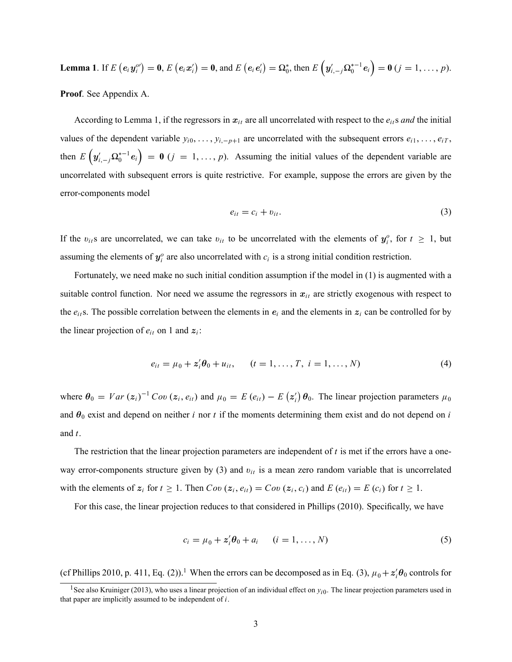**Lemma 1.** If 
$$
E(e_i y_i^{o\prime}) = 0
$$
,  $E(e_i x_i^{\prime}) = 0$ , and  $E(e_i e_i^{\prime}) = \Omega_0^*$ , then  $E(y_{i,-j}^{\prime} \Omega_0^{*-1} e_i) = 0$   $(j = 1, ..., p)$ .

Proof. See Appendix A.

According to Lemma 1, if the regressors in  $x_{it}$  are all uncorrelated with respect to the  $e_{it}$ s and the initial values of the dependent variable  $y_{i0}, \ldots, y_{i,-p+1}$  are uncorrelated with the subsequent errors  $e_{i1}, \ldots, e_{iT}$ , then  $E(g'_{i,-j}\Omega_0^{*-1}e_i) = \mathbf{0}$   $(j = 1, ..., p)$ . Assuming the initial values of the dependent variable are uncorrelated with subsequent errors is quite restrictive. For example, suppose the errors are given by the error-components model

$$
e_{it} = c_i + v_{it}. \tag{3}
$$

If the  $v_{it}$  are uncorrelated, we can take  $v_{it}$  to be uncorrelated with the elements of  $y_i^o$ , for  $t \ge 1$ , but assuming the elements of  $y_i^o$  are also uncorrelated with  $c_i$  is a strong initial condition restriction.

Fortunately, we need make no such initial condition assumption if the model in (1) is augmented with a suitable control function. Nor need we assume the regressors in  $x_{it}$  are strictly exogenous with respect to the  $e_{it}$ s. The possible correlation between the elements in  $e_i$  and the elements in  $z_i$  can be controlled for by the linear projection of  $e_{it}$  on 1 and  $z_i$ :

$$
e_{it} = \mu_0 + \mathbf{z}'_i \boldsymbol{\theta}_0 + u_{it}, \qquad (t = 1, \dots, T, \ i = 1, \dots, N) \tag{4}
$$

where  $\theta_0 = Var(z_i)^{-1}Cov(z_i, e_{it})$  and  $\mu_0 = E(e_{it}) - E(z_i')\theta_0$ . The linear projection parameters  $\mu_0$ and  $\theta_0$  exist and depend on neither i nor t if the moments determining them exist and do not depend on i and t.

The restriction that the linear projection parameters are independent of  $t$  is met if the errors have a oneway error-components structure given by (3) and  $v_{it}$  is a mean zero random variable that is uncorrelated with the elements of  $z_i$  for  $t \ge 1$ . Then  $Cov(z_i, e_{it}) = Cov(z_i, c_i)$  and  $E(e_{it}) = E(c_i)$  for  $t \ge 1$ .

For this case, the linear projection reduces to that considered in Phillips (2010). Specifically, we have

$$
c_i = \mu_0 + \mathbf{z}'_i \boldsymbol{\theta}_0 + a_i \qquad (i = 1, \dots, N)
$$
\n<sup>(5)</sup>

(cf Phillips 2010, p. 411, Eq. (2)).<sup>1</sup> When the errors can be decomposed as in Eq. (3),  $\mu_0 + z'_i \theta_0$  controls for

<sup>&</sup>lt;sup>1</sup> See also Kruiniger (2013), who uses a linear projection of an individual effect on  $y_{i0}$ . The linear projection parameters used in that paper are implicitly assumed to be independent of  $i$ .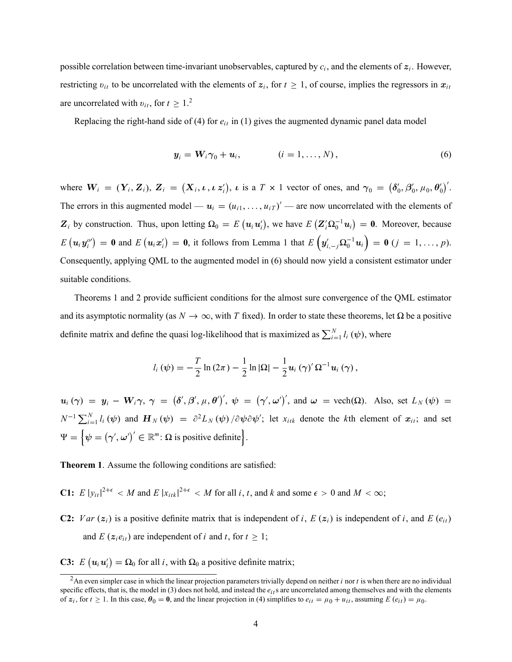possible correlation between time-invariant unobservables, captured by  $c_i$ , and the elements of  $z_i$ . However, restricting  $v_{it}$  to be uncorrelated with the elements of  $z_i$ , for  $t \ge 1$ , of course, implies the regressors in  $x_{it}$ are uncorrelated with  $v_{it}$ , for  $t \geq 1$ .<sup>2</sup>

Replacing the right-hand side of (4) for  $e_{it}$  in (1) gives the augmented dynamic panel data model

$$
\mathbf{y}_i = \mathbf{W}_i \boldsymbol{\gamma}_0 + \mathbf{u}_i, \qquad (i = 1, \ldots, N), \qquad (6)
$$

where  $W_i = (\mathbf{Y}_i, \mathbf{Z}_i)$ ,  $\mathbf{Z}_i = (\mathbf{X}_i, \boldsymbol{\iota}, \boldsymbol{\iota}, \boldsymbol{z}_i)$ ,  $\boldsymbol{\iota}$  is a  $T \times 1$  vector of ones, and  $\gamma_0 = (\boldsymbol{\delta}_0', \boldsymbol{\beta}_0', \mu_0, \boldsymbol{\theta}_0')'$ . The errors in this augmented model —  $u_i = (u_{i1}, \dots, u_{iT})'$  — are now uncorrelated with the elements of  $\mathbf{Z}_i$  by construction. Thus, upon letting  $\Omega_0 = E(u_i u'_i)$ , we have  $E(\mathbf{Z}_i^{\prime} \Omega_0^{-1} u_i) = \mathbf{0}$ . Moreover, because  $E(u_i y_i^{\rho}) = \mathbf{0}$  and  $E(u_i x_i') = \mathbf{0}$ , it follows from Lemma 1 that  $E(u_{i,-j}\Omega_0^{-1}u_i) = \mathbf{0}$   $(j = 1, \ldots, p)$ . Consequently, applying QML to the augmented model in (6) should now yield a consistent estimator under suitable conditions.

Theorems 1 and 2 provide sufficient conditions for the almost sure convergence of the QML estimator and its asymptotic normality (as  $N \to \infty$ , with T fixed). In order to state these theorems, let  $\Omega$  be a positive definite matrix and define the quasi log-likelihood that is maximized as  $\sum_{i=1}^{N} l_i(\psi)$ , where

$$
l_i(\psi) = -\frac{T}{2}\ln(2\pi) - \frac{1}{2}\ln|\Omega| - \frac{1}{2}\mathbf{u}_i(\gamma)'\Omega^{-1}\mathbf{u}_i(\gamma),
$$

 $u_i(\gamma) = y_i - W_i \gamma, \ \gamma = (\delta', \beta', \mu, \theta')', \ \psi = (\gamma', \omega')', \text{ and } \omega = \text{vech}(\Omega)$ . Also, set  $L_N(\psi) =$  $N^{-1} \sum_{i=1}^{N} l_i(\psi)$  and  $\mathbf{H}_N(\psi) = \partial^2 L_N(\psi) / \partial \psi \partial \psi'$ ; let  $x_{itk}$  denote the kth element of  $x_{it}$ ; and set  $\Psi = \left\{ \psi = (\gamma', \omega')' \in \mathbb{R}^m \colon \Omega \text{ is positive definite} \right\}.$ 

Theorem 1. Assume the following conditions are satisfied:

**C1:**  $E |y_{it}|^{2+\epsilon} < M$  and  $E |x_{itk}|^{2+\epsilon} < M$  for all  $i, t$ , and  $k$  and some  $\epsilon > 0$  and  $M < \infty$ ;

**C2:**  $Var(z_i)$  is a positive definite matrix that is independent of i,  $E(z_i)$  is independent of i, and  $E(e_{it})$ and E  $(z_i e_{it})$  are independent of i and t, for  $t \ge 1$ ;

**C3:**  $E(u_i u'_i) = \Omega_0$  for all *i*, with  $\Omega_0$  a positive definite matrix;

<sup>&</sup>lt;sup>2</sup>An even simpler case in which the linear projection parameters trivially depend on neither *i* nor *t* is when there are no individual specific effects, that is, the model in (3) does not hold, and instead the  $e_{it}$  are uncorrelated among themselves and with the elements of  $z_i$ , for  $t \ge 1$ . In this case,  $\theta_0 = 0$ , and the linear projection in (4) simplifies to  $e_{it} = \mu_0 + u_{it}$ , assuming  $E(e_{it}) = \mu_0$ .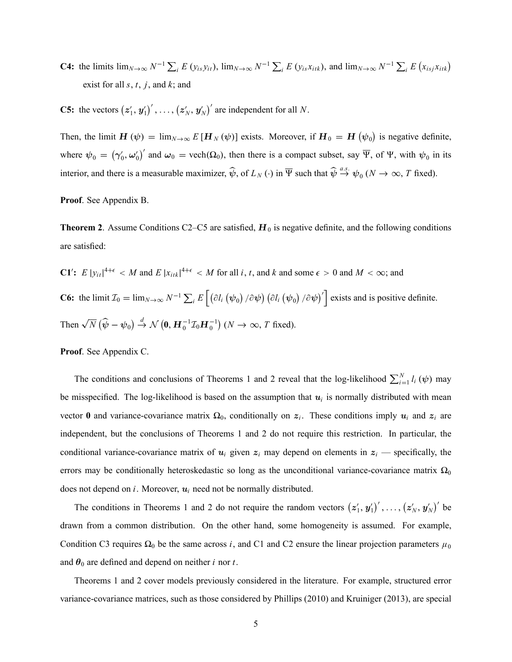**C4:** the limits  $\lim_{N\to\infty} N^{-1} \sum_{i} E(y_{is}y_{it})$ ,  $\lim_{N\to\infty} N^{-1} \sum_{i} E(y_{is}x_{itk})$ , and  $\lim_{N\to\infty} N^{-1} \sum_{i} E(x_{isj}x_{itk})$ exist for all  $s, t, j$ , and  $k$ ; and

**C5:** the vectors  $(z'_1, y'_1)'$ , ...,  $(z'_N, y'_N)'$  are independent for all N.

Then, the limit  $\mathbf{H}(\psi) = \lim_{N \to \infty} E[\mathbf{H}_N(\psi)]$  exists. Moreover, if  $\mathbf{H}_0 = \mathbf{H}(\psi_0)$  is negative definite, where  $\psi_0 = (\gamma'_0, \omega'_0)'$  and  $\omega_0 = \text{vech}(\Omega_0)$ , then there is a compact subset, say  $\overline{\Psi}$ , of  $\Psi$ , with  $\psi_0$  in its interior, and there is a measurable maximizer,  $\widehat{\psi}$ , of  $L_N(\cdot)$  in  $\overline{\Psi}$  such that  $\widehat{\psi} \stackrel{a.s.}{\rightarrow} \psi_0(N \to \infty, T$  fixed).

Proof. See Appendix B.

**Theorem 2**. Assume Conditions C2–C5 are satisfied,  $H_0$  is negative definite, and the following conditions are satisfied:

\n- **C1'**: 
$$
E |y_{it}|^{4+\epsilon} < M
$$
 and  $E |x_{itk}|^{4+\epsilon} < M$  for all  $i, t, \text{ and } k$  and some  $\epsilon > 0$  and  $M < \infty$ ; and
\n- **C6:** the limit  $\mathcal{I}_0 = \lim_{N \to \infty} N^{-1} \sum_i E \left[ \left( \frac{\partial l_i (\psi_0)}{\partial \psi} \right) \left( \frac{\partial l_i (\psi_0)}{\partial \psi} \right)' \right]$  exists and is positive definite.
\n- **Then**  $\sqrt{N} (\widehat{\psi} - \psi_0) \stackrel{d}{\to} \mathcal{N} (0, \mathbf{H}_0^{-1} \mathcal{I}_0 \mathbf{H}_0^{-1}) \quad (N \to \infty, T \text{ fixed}).$
\n

Proof. See Appendix C.

The conditions and conclusions of Theorems 1 and 2 reveal that the log-likelihood  $\sum_{i=1}^{N} l_i(\psi)$  may be misspecified. The log-likelihood is based on the assumption that  $u_i$  is normally distributed with mean vector 0 and variance-covariance matrix  $\Omega_0$ , conditionally on  $z_i$ . These conditions imply  $u_i$  and  $z_i$  are independent, but the conclusions of Theorems 1 and 2 do not require this restriction. In particular, the conditional variance-covariance matrix of  $u_i$  given  $z_i$  may depend on elements in  $z_i$  — specifically, the errors may be conditionally heteroskedastic so long as the unconditional variance-covariance matrix  $\Omega_0$ does not depend on i. Moreover,  $u_i$  need not be normally distributed.

The conditions in Theorems 1 and 2 do not require the random vectors  $(z'_1, y'_1)'$ , ...,  $(z'_N, y'_N)'$  be drawn from a common distribution. On the other hand, some homogeneity is assumed. For example, Condition C3 requires  $\Omega_0$  be the same across i, and C1 and C2 ensure the linear projection parameters  $\mu_0$ and  $\theta_0$  are defined and depend on neither *i* nor *t*.

Theorems 1 and 2 cover models previously considered in the literature. For example, structured error variance-covariance matrices, such as those considered by Phillips (2010) and Kruiniger (2013), are special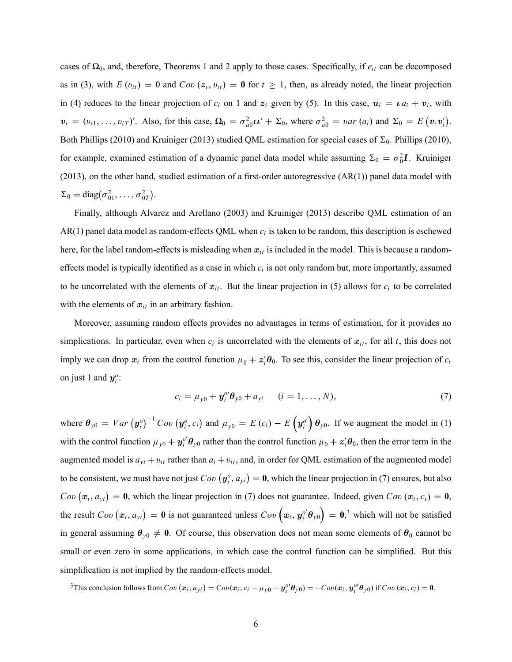cases of  $\Omega_0$ , and, therefore, Theorems 1 and 2 apply to those cases. Specifically, if  $e_{it}$  can be decomposed as in (3), with  $E(v_{it}) = 0$  and  $Cov(z_i, v_{it}) = 0$  for  $t \ge 1$ , then, as already noted, the linear projection in (4) reduces to the linear projection of  $c_i$  on 1 and  $z_i$  given by (5). In this case,  $u_i = \iota a_i + v_i$ , with  $v_i = (v_{i1}, \ldots, v_{iT})'$ . Also, for this case,  $\Omega_0 = \sigma_{a0}^2 \mu' + \Sigma_0$ , where  $\sigma_{a0}^2 = \nu a r(a_i)$  and  $\Sigma_0 = E(v_i v'_i)$ . Both Phillips (2010) and Kruiniger (2013) studied QML estimation for special cases of  $\Sigma_0$ . Phillips (2010), for example, examined estimation of a dynamic panel data model while assuming  $\Sigma_0 = \sigma_0^2 \mathbf{I}$ . Kruiniger  $(2013)$ , on the other hand, studied estimation of a first-order autoregressive  $(AR(1))$  panel data model with  $\Sigma_0 = \text{diag}(\sigma_{01}^2, \ldots, \sigma_{0T}^2).$ 

Finally, although Alvarez and Arellano (2003) and Kruiniger (2013) describe QML estimation of an AR(1) panel data model as random-effects QML when  $c_i$  is taken to be random, this description is eschewed here, for the label random-effects is misleading when  $x_{it}$  is included in the model. This is because a randomeffects model is typically identified as a case in which  $c_i$  is not only random but, more importantly, assumed to be uncorrelated with the elements of  $x_{it}$ . But the linear projection in (5) allows for  $c_i$  to be correlated with the elements of  $x_{it}$  in an arbitrary fashion.

Moreover, assuming random effects provides no advantages in terms of estimation, for it provides no simplications. In particular, even when  $c_i$  is uncorrelated with the elements of  $x_{it}$ , for all t, this does not imply we can drop  $x_i$  from the control function  $\mu_0 + z_i' \theta_0$ . To see this, consider the linear projection of  $c_i$ on just 1 and  $y_i^o$ :

$$
c_i = \mu_{y0} + \mathbf{y}_i^o \mathbf{\theta}_{y0} + a_{yi} \qquad (i = 1, ..., N),
$$
 (7)

where  $\theta_{y0} = Var(y_i^0)^{-1}Cov(y_i^0, c_i)$  and  $\mu_{y0} = E(c_i) - E(y_i^0) \theta_{y0}$ . If we augment the model in (1) with the control function  $\mu_{y0} + y_i^{\rho'} \theta_{y0}$  rather than the control function  $\mu_0 + z_i^{\prime} \theta_0$ , then the error term in the augmented model is  $a_{yi} + v_{it}$  rather than  $a_i + v_{it}$ , and, in order for QML estimation of the augmented model to be consistent, we must have not just  $Cov(y_i^o, a_{yi}) = \mathbf{0}$ , which the linear projection in (7) ensures, but also  $Cov(x_i, a_{yi}) = 0$ , which the linear projection in (7) does not guarantee. Indeed, given  $Cov(x_i, c_i) = 0$ , the result  $Cov(x_i, a_{yi}) = 0$  is not guaranteed unless  $Cov(x_i, y_i^o | \theta_{y0}) = 0$ ,<sup>3</sup> which will not be satisfied in general assuming  $\theta_{y0} \neq 0$ . Of course, this observation does not mean some elements of  $\theta_0$  cannot be small or even zero in some applications, in which case the control function can be simplified. But this simplification is not implied by the random-effects model.

<sup>&</sup>lt;sup>3</sup>This conclusion follows from  $Cov(\mathbf{x}_i, a_{yi}) = Cov(\mathbf{x}_i, c_i - \mu_{y0} - \mathbf{y}_i^{\omega} \mathbf{\theta}_{y0}) = -Cov(\mathbf{x}_i, \mathbf{y}_i^{\omega} \mathbf{\theta}_{y0})$  if  $Cov(\mathbf{x}_i, c_i) = \mathbf{0}$ .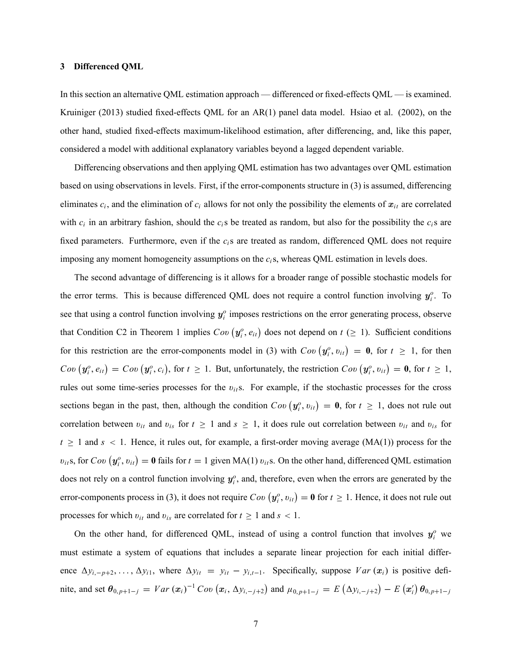## 3 Differenced QML

In this section an alternative QML estimation approach — differenced or fixed-effects QML — is examined. Kruiniger (2013) studied fixed-effects QML for an AR(1) panel data model. Hsiao et al. (2002), on the other hand, studied fixed-effects maximum-likelihood estimation, after differencing, and, like this paper, considered a model with additional explanatory variables beyond a lagged dependent variable.

Differencing observations and then applying QML estimation has two advantages over QML estimation based on using observations in levels. First, if the error-components structure in (3) is assumed, differencing eliminates  $c_i$ , and the elimination of  $c_i$  allows for not only the possibility the elements of  $x_{it}$  are correlated with  $c_i$  in an arbitrary fashion, should the  $c_i$ s be treated as random, but also for the possibility the  $c_i$ s are fixed parameters. Furthermore, even if the  $c_i$ s are treated as random, differenced QML does not require imposing any moment homogeneity assumptions on the  $c_i$ s, whereas QML estimation in levels does.

The second advantage of differencing is it allows for a broader range of possible stochastic models for the error terms. This is because differenced QML does not require a control function involving  $y_i^o$ . To see that using a control function involving  $y_i^o$  imposes restrictions on the error generating process, observe that Condition C2 in Theorem 1 implies  $Cov(y_i^o, e_{it})$  does not depend on  $t \ge 1$ ). Sufficient conditions for this restriction are the error-components model in (3) with  $Cov(y_i^o, v_{it}) = \mathbf{0}$ , for  $t \ge 1$ , for then  $Cov(y_i^o, e_{it}) = Cov(y_i^o, c_i)$ , for  $t \ge 1$ . But, unfortunately, the restriction  $Cov(y_i^o, v_{it}) = \mathbf{0}$ , for  $t \ge 1$ , rules out some time-series processes for the  $v_{it}$ s. For example, if the stochastic processes for the cross sections began in the past, then, although the condition  $Cov(y_i^o, v_{it}) = \mathbf{0}$ , for  $t \ge 1$ , does not rule out correlation between  $v_{it}$  and  $v_{is}$  for  $t \ge 1$  and  $s \ge 1$ , it does rule out correlation between  $v_{it}$  and  $v_{is}$  for  $t \ge 1$  and  $s < 1$ . Hence, it rules out, for example, a first-order moving average (MA(1)) process for the  $v_{it}$ s, for  $Cov(y_i^o, v_{it}) = \mathbf{0}$  fails for  $t = 1$  given MA(1)  $v_{it}$ s. On the other hand, differenced QML estimation does not rely on a control function involving  $y_i^o$ , and, therefore, even when the errors are generated by the error-components process in (3), it does not require  $Cov(y_i^o, v_{it}) = \mathbf{0}$  for  $t \ge 1$ . Hence, it does not rule out processes for which  $v_{it}$  and  $v_{is}$  are correlated for  $t \ge 1$  and  $s < 1$ .

On the other hand, for differenced QML, instead of using a control function that involves  $y_i^o$  we must estimate a system of equations that includes a separate linear projection for each initial difference  $\Delta y_{i,-p+2}, \ldots, \Delta y_{i1}$ , where  $\Delta y_{it} = y_{it} - y_{i,t-1}$ . Specifically, suppose  $Var(x_i)$  is positive definite, and set  $\theta_{0,p+1-j} = Var(x_i)^{-1}Cov(x_i, \Delta y_{i,-j+2})$  and  $\mu_{0,p+1-j} = E(\Delta y_{i,-j+2}) - E(x_i')\theta_{0,p+1-j}$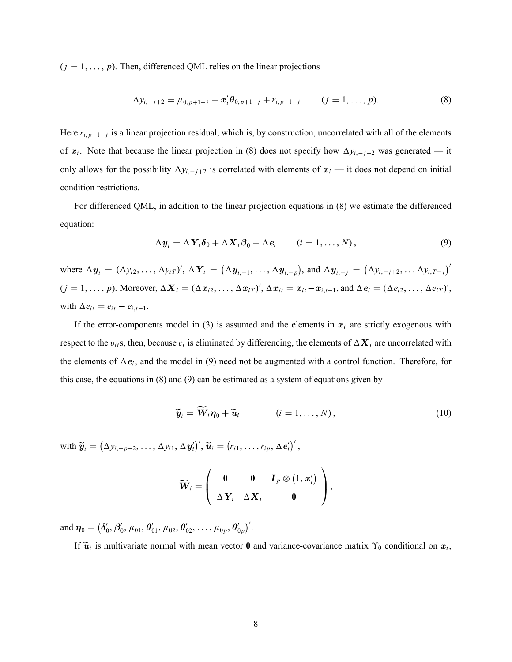$(j = 1, \ldots, p)$ . Then, differenced QML relies on the linear projections

$$
\Delta y_{i,-j+2} = \mu_{0,p+1-j} + x_i' \theta_{0,p+1-j} + r_{i,p+1-j} \qquad (j = 1, ..., p).
$$
 (8)

Here  $r_{i,p+1-j}$  is a linear projection residual, which is, by construction, uncorrelated with all of the elements of  $x_i$ . Note that because the linear projection in (8) does not specify how  $\Delta y_{i, -j+2}$  was generated — it only allows for the possibility  $\Delta y_{i, -j+2}$  is correlated with elements of  $x_i$  – it does not depend on initial condition restrictions.

For differenced QML, in addition to the linear projection equations in (8) we estimate the differenced equation:

$$
\Delta y_i = \Delta Y_i \delta_0 + \Delta X_i \beta_0 + \Delta e_i \qquad (i = 1, ..., N), \qquad (9)
$$

where  $\Delta y_i = (\Delta y_{i2}, \dots, \Delta y_{iT})'$ ,  $\Delta Y_i = (\Delta y_{i,-1}, \dots, \Delta y_{i,-p})$ , and  $\Delta y_{i,-j} = (\Delta y_{i,-j+2}, \dots \Delta y_{i,T-j})'$  $(j = 1, \ldots, p)$ . Moreover,  $\Delta \mathbf{X}_i = (\Delta \mathbf{x}_{i2}, \ldots, \Delta \mathbf{x}_{iT})'$ ,  $\Delta \mathbf{x}_{it} = \mathbf{x}_{it} - \mathbf{x}_{i,t-1}$ , and  $\Delta \mathbf{e}_i = (\Delta e_{i2}, \ldots, \Delta e_{iT})'$ , with  $\Delta e_{it} = e_{it} - e_{i,t-1}$ .

If the error-components model in (3) is assumed and the elements in  $x_i$  are strictly exogenous with respect to the  $v_{it}$ s, then, because  $c_i$  is eliminated by differencing, the elements of  $\Delta X_i$  are uncorrelated with the elements of  $\Delta e_i$ , and the model in (9) need not be augmented with a control function. Therefore, for this case, the equations in (8) and (9) can be estimated as a system of equations given by

$$
\widetilde{\boldsymbol{y}}_i = \mathbf{W}_i \boldsymbol{\eta}_0 + \widetilde{\boldsymbol{u}}_i \qquad (i = 1, \dots, N), \qquad (10)
$$

with  $\widetilde{\mathbf{y}}_i = (\Delta y_{i,-p+2}, \ldots, \Delta y_{i1}, \Delta \mathbf{y}_i')', \widetilde{\mathbf{u}}_i = (r_{i1}, \ldots, r_{ip}, \Delta \mathbf{e}_i')',$ 

$$
\widetilde{\mathbf{W}}_i = \left(\begin{array}{ccc} \mathbf{0} & \mathbf{0} & \mathbf{I}_p \otimes (1, x'_i) \\ \Delta \mathbf{Y}_i & \Delta \mathbf{X}_i & \mathbf{0} \end{array}\right),
$$

and  $\eta_0 = (\delta'_0, \beta'_0, \mu_{01}, \theta'_{01}, \mu_{02}, \theta'_{02}, \ldots, \mu_{0p}, \theta'_{0p})'$ .

If  $\tilde{u}_i$  is multivariate normal with mean vector **0** and variance-covariance matrix  $\gamma_0$  conditional on  $x_i$ ,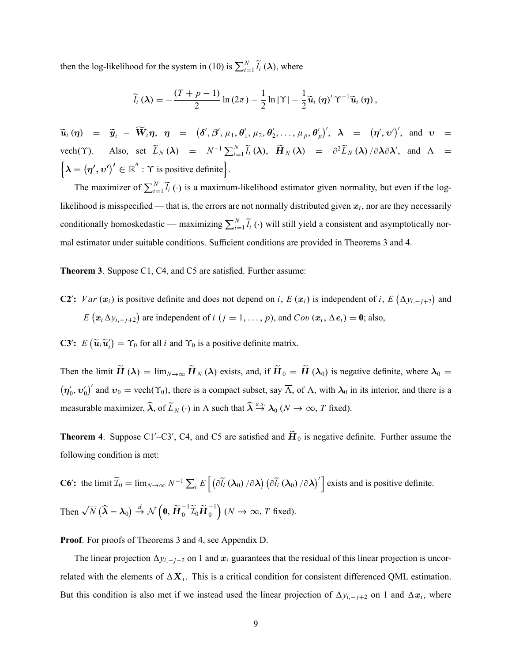then the log-likelihood for the system in (10) is  $\sum_{i=1}^{N} \tilde{l}_i(\lambda)$ , where

$$
\widetilde{l}_i\left(\boldsymbol{\lambda}\right)=-\frac{\left(T+p-1\right)}{2}\ln\left(2\pi\right)-\frac{1}{2}\ln|\Upsilon|-\frac{1}{2}\widetilde{\boldsymbol{u}}_i\left(\boldsymbol{\eta}\right)'\Upsilon^{-1}\widetilde{\boldsymbol{u}}_i\left(\boldsymbol{\eta}\right),\,
$$

 $\widetilde{u}_i(\eta) = \widetilde{y}_i - \widetilde{W}_i \eta, \eta = (\delta', \beta', \mu_1, \theta'_1, \mu_2, \theta'_2, \dots, \mu_p, \theta'_p)', \lambda = (\eta', \nu'), \text{ and } \nu =$ vech( $\Upsilon$ ). Also, set  $\widetilde{L}_N(\lambda) = N^{-1} \sum_{i=1}^N \widetilde{l}_i(\lambda)$ ,  $\widetilde{H}_N(\lambda) = \partial^2 \widetilde{L}_N(\lambda) / \partial \lambda \partial \lambda'$ , and  $\Lambda =$  $\left\{ \lambda = \left( \eta', \upsilon' \right)' \in \mathbb{R}^n : \Upsilon \text{ is positive definite} \right\}.$ 

The maximizer of  $\sum_{i=1}^{N} \tilde{l}_i$  ( $\cdot$ ) is a maximum-likelihood estimator given normality, but even if the loglikelihood is misspecified — that is, the errors are not normally distributed given  $x_i$ , nor are they necessarily conditionally homoskedastic — maximizing  $\sum_{i=1}^{N} \tilde{l}_i$  ( $\cdot$ ) will still yield a consistent and asymptotically normal estimator under suitable conditions. Sufficient conditions are provided in Theorems 3 and 4.

Theorem 3. Suppose C1, C4, and C5 are satisfied. Further assume:

C2': Var  $(x_i)$  is positive definite and does not depend on i, E  $(x_i)$  is independent of i, E  $(\Delta y_{i,-j+2})$  and  $E(x_i \Delta y_{i, -j+2})$  are independent of  $i$   $(j = 1, ..., p)$ , and  $Cov(x_i, \Delta e_i) = 0$ ; also,

**C3':**  $E\left(\tilde{\boldsymbol{u}}_i \tilde{\boldsymbol{u}}'_i\right) = \Upsilon_0$  for all *i* and  $\Upsilon_0$  is a positive definite matrix.

Then the limit  $H(\lambda) = \lim_{N \to \infty} H_N(\lambda)$  exists, and, if  $H_0 = H(\lambda_0)$  is negative definite, where  $\lambda_0 =$  $(\eta'_0, v'_0)'$  and  $v_0 = \text{vech}(\Upsilon_0)$ , there is a compact subset, say  $\overline{\Lambda}$ , of  $\Lambda$ , with  $\lambda_0$  in its interior, and there is a measurable maximizer,  $\widehat{\lambda}$ , of  $\widetilde{L}_N(\cdot)$  in  $\overline{\Lambda}$  such that  $\widehat{\lambda} \stackrel{a.s.}{\rightarrow} \lambda_0 (N \to \infty, T$  fixed).

**Theorem 4.** Suppose C1'–C3', C4, and C5 are satisfied and  $H_0$  is negative definite. Further assume the following condition is met:

**C6':** the limit  $\widetilde{\mathcal{I}}_0 = \lim_{N \to \infty} N^{-1} \sum_i E\left[ \left( \partial \widetilde{I}_i \left( \lambda_0 \right) / \partial \lambda \right) \left( \partial \widetilde{I}_i \left( \lambda_0 \right) / \partial \lambda \right)' \right]$  exists and is positive definite. Then  $\sqrt{N} (\widehat{\lambda} - \lambda_0) \stackrel{d}{\rightarrow} \mathcal{N}$  $\left(0, \tilde{\boldsymbol{H}}_0^{-1} \tilde{\boldsymbol{I}}_0 \tilde{\boldsymbol{H}}_0^{-1}\right) (N \to \infty, T \text{ fixed}).$ 

Proof. For proofs of Theorems 3 and 4, see Appendix D.

The linear projection  $\Delta y_{i, -j+2}$  on 1 and  $x_i$  guarantees that the residual of this linear projection is uncorrelated with the elements of  $\Delta X_i$ . This is a critical condition for consistent differenced QML estimation. But this condition is also met if we instead used the linear projection of  $\Delta y_{i, -j+2}$  on 1 and  $\Delta x_i$ , where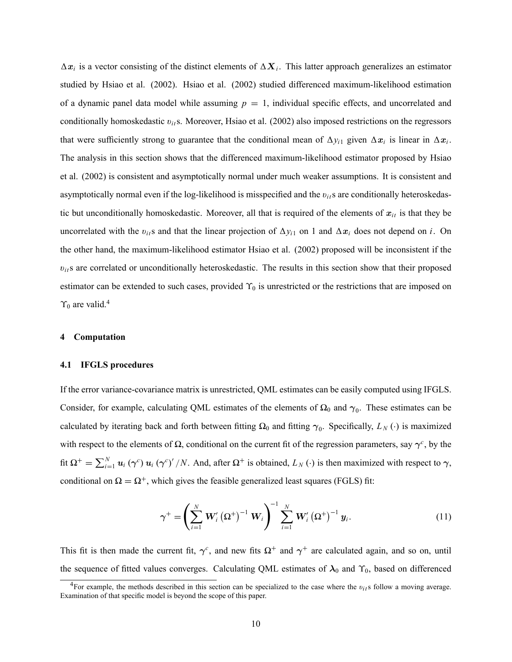$\Delta x_i$  is a vector consisting of the distinct elements of  $\Delta X_i$ . This latter approach generalizes an estimator studied by Hsiao et al. (2002). Hsiao et al. (2002) studied differenced maximum-likelihood estimation of a dynamic panel data model while assuming  $p = 1$ , individual specific effects, and uncorrelated and conditionally homoskedastic  $v_{it}$ s. Moreover, Hsiao et al. (2002) also imposed restrictions on the regressors that were sufficiently strong to guarantee that the conditional mean of  $\Delta y_{i1}$  given  $\Delta x_i$  is linear in  $\Delta x_i$ . The analysis in this section shows that the differenced maximum-likelihood estimator proposed by Hsiao et al. (2002) is consistent and asymptotically normal under much weaker assumptions. It is consistent and asymptotically normal even if the log-likelihood is misspecified and the  $v_{it}$ s are conditionally heteroskedastic but unconditionally homoskedastic. Moreover, all that is required of the elements of  $x_{it}$  is that they be uncorrelated with the  $v_{ii}$ s and that the linear projection of  $\Delta y_{i1}$  on 1 and  $\Delta x_i$  does not depend on i. On the other hand, the maximum-likelihood estimator Hsiao et al. (2002) proposed will be inconsistent if the  $v_{ij}$ s are correlated or unconditionally heteroskedastic. The results in this section show that their proposed estimator can be extended to such cases, provided  $\Upsilon_0$  is unrestricted or the restrictions that are imposed on  $\Upsilon_0$  are valid.<sup>4</sup>

## 4 Computation

## 4.1 IFGLS procedures

If the error variance-covariance matrix is unrestricted, QML estimates can be easily computed using IFGLS. Consider, for example, calculating QML estimates of the elements of  $\Omega_0$  and  $\gamma_0$ . These estimates can be calculated by iterating back and forth between fitting  $\Omega_0$  and fitting  $\gamma_0$ . Specifically,  $L_N(\cdot)$  is maximized with respect to the elements of  $\Omega$ , conditional on the current fit of the regression parameters, say  $\gamma^c$ , by the fit  $\Omega^+ = \sum_{i=1}^N u_i (\gamma^c) u_i (\gamma^c)' / N$ . And, after  $\Omega^+$  is obtained,  $L_N(\cdot)$  is then maximized with respect to  $\gamma$ , conditional on  $\Omega = \Omega^+$ , which gives the feasible generalized least squares (FGLS) fit:

$$
\gamma^{+} = \left(\sum_{i=1}^{N} \mathbf{W}_{i}'\left(\Omega^{+}\right)^{-1} \mathbf{W}_{i}\right)^{-1} \sum_{i=1}^{N} \mathbf{W}_{i}'\left(\Omega^{+}\right)^{-1} \mathbf{y}_{i}.
$$
 (11)

This fit is then made the current fit,  $\gamma^c$ , and new fits  $\Omega^+$  and  $\gamma^+$  are calculated again, and so on, until the sequence of fitted values converges. Calculating QML estimates of  $\lambda_0$  and  $\Upsilon_0$ , based on differenced

<sup>&</sup>lt;sup>4</sup>For example, the methods described in this section can be specialized to the case where the  $v_{it}$ s follow a moving average. Examination of that specific model is beyond the scope of this paper.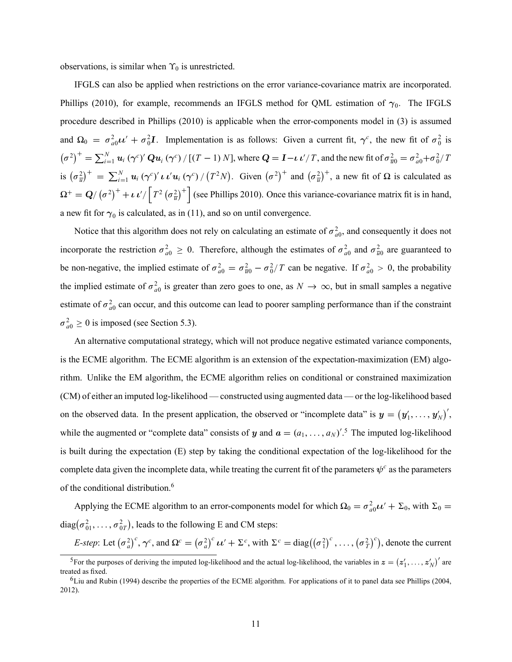observations, is similar when  $\Upsilon_0$  is unrestricted.

IFGLS can also be applied when restrictions on the error variance-covariance matrix are incorporated. Phillips (2010), for example, recommends an IFGLS method for QML estimation of  $\gamma_0$ . The IFGLS procedure described in Phillips (2010) is applicable when the error-components model in (3) is assumed and  $\Omega_0 = \sigma_{a0}^2 \mu' + \sigma_0^2 I$ . Implementation is as follows: Given a current fit,  $\gamma^c$ , the new fit of  $\sigma_0^2$  is  $(\sigma^2)^+ = \sum_{i=1}^N u_i (\gamma^c)' Q u_i (\gamma^c) / [(T-1) N]$ , where  $Q = I - \iota \iota'/T$ , and the new fit of  $\sigma_{\overline{u}0}^2 = \sigma_{a0}^2 + \sigma_0^2 / T$ is  $(\sigma_{\overline{u}}^2)^+ = \sum_{i=1}^N u_i (\gamma^c)' \iota' u_i (\gamma^c) / (T^2 N)$ . Given  $(\sigma^2)^+$  and  $(\sigma_{\overline{u}}^2)^+$ , a new fit of  $\Omega$  is calculated as  $\Omega^+ = Q/(\sigma^2)^+ + \iota \nu^2 / \left[ T^2 (\sigma^2_{\overline{u}})^+ \right]$  (see Phillips 2010). Once this variance-covariance matrix fit is in hand, a new fit for  $\gamma_0$  is calculated, as in (11), and so on until convergence.

Notice that this algorithm does not rely on calculating an estimate of  $\sigma_{a0}^2$ , and consequently it does not incorporate the restriction  $\sigma_{a0}^2 \ge 0$ . Therefore, although the estimates of  $\sigma_{a0}^2$  and  $\sigma_{\overline{u}0}^2$  are guaranteed to be non-negative, the implied estimate of  $\sigma_{a0}^2 = \sigma_{\overline{u}0}^2 - \sigma_0^2/T$  can be negative. If  $\sigma_{a0}^2 > 0$ , the probability the implied estimate of  $\sigma_{a0}^2$  is greater than zero goes to one, as  $N \to \infty$ , but in small samples a negative estimate of  $\sigma_{a0}^2$  can occur, and this outcome can lead to poorer sampling performance than if the constraint  $\sigma_{a0}^2 \ge 0$  is imposed (see Section 5.3).

An alternative computational strategy, which will not produce negative estimated variance components, is the ECME algorithm. The ECME algorithm is an extension of the expectation-maximization (EM) algorithm. Unlike the EM algorithm, the ECME algorithm relies on conditional or constrained maximization (CM) of either an imputed log-likelihood — constructed using augmented data — or the log-likelihood based on the observed data. In the present application, the observed or "incomplete data" is  $y = (y'_1, \ldots, y'_N)'$ , while the augmented or "complete data" consists of y and  $a = (a_1, \ldots, a_N)'$ .<sup>5</sup> The imputed log-likelihood is built during the expectation (E) step by taking the conditional expectation of the log-likelihood for the complete data given the incomplete data, while treating the current fit of the parameters  $\psi^c$  as the parameters of the conditional distribution.<sup>6</sup>

Applying the ECME algorithm to an error-components model for which  $\Omega_0 = \sigma_{a0}^2 \mu' + \Sigma_0$ , with  $\Sigma_0 =$ diag $(\sigma_{01}^2, \ldots, \sigma_{0T}^2)$ , leads to the following E and CM steps:

*E-step*: Let  $(\sigma_a^2)^c$ ,  $\gamma^c$ , and  $\Omega^c = (\sigma_a^2)^c u' + \Sigma^c$ , with  $\Sigma^c = \text{diag}((\sigma_1^2)^c, \dots, (\sigma_T^2)^c)$ , denote the current

<sup>&</sup>lt;sup>5</sup>For the purposes of deriving the imputed log-likelihood and the actual log-likelihood, the variables in  $\boldsymbol{z} = (\boldsymbol{z}'_1, \dots, \boldsymbol{z}'_N)'$  are treated as fixed.

 $6$ Liu and Rubin (1994) describe the properties of the ECME algorithm. For applications of it to panel data see Phillips (2004, 2012).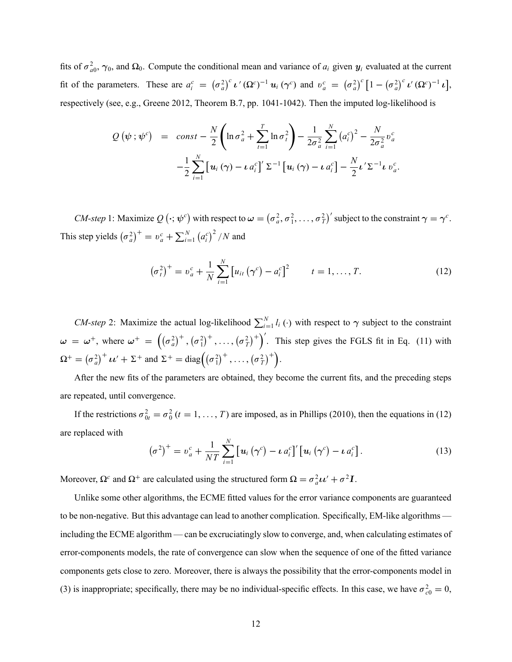fits of  $\sigma_{a0}^2$ ,  $\gamma_0$ , and  $\Omega_0$ . Compute the conditional mean and variance of  $a_i$  given  $y_i$  evaluated at the current fit of the parameters. These are  $a_i^c = (\sigma_a^2)^c \nu'(\Omega^c)^{-1} u_i (\gamma^c)$  and  $v_a^c = (\sigma_a^2)^c [1 - (\sigma_a^2)^c \nu'(\Omega^c)^{-1} u],$ respectively (see, e.g., Greene 2012, Theorem B.7, pp. 1041-1042). Then the imputed log-likelihood is

$$
Q(\psi; \psi^c) = const - \frac{N}{2} \left( \ln \sigma_a^2 + \sum_{t=1}^T \ln \sigma_t^2 \right) - \frac{1}{2\sigma_a^2} \sum_{i=1}^N (a_i^c)^2 - \frac{N}{2\sigma_a^2} v_a^c
$$

$$
- \frac{1}{2} \sum_{i=1}^N \left[ u_i (\gamma) - \mu a_i^c \right] \sum_{i=1}^T \left[ u_i (\gamma) - \mu a_i^c \right] - \frac{N}{2} \mu' \Sigma^{-1} \mu v_a^c.
$$

*CM-step* 1: Maximize  $Q(\cdot; \psi^c)$  with respect to  $\omega = (\sigma_a^2, \sigma_1^2, \dots, \sigma_T^2)'$  subject to the constraint  $\gamma = \gamma^c$ . This step yields  $(\sigma_a^2)^+$  =  $v_a^c$  +  $\sum_{i=1}^N$  $(a_i^c)^2/N$  and

$$
\left(\sigma_t^2\right)^{+} = v_a^c + \frac{1}{N} \sum_{i=1}^{N} \left[u_{it}\left(\gamma^c\right) - a_i^c\right]^2 \qquad t = 1, \dots, T. \tag{12}
$$

*CM-step* 2: Maximize the actual log-likelihood  $\sum_{i=1}^{N} l_i(\cdot)$  with respect to  $\gamma$  subject to the constraint  $\omega = \omega^+$ , where  $\omega^+ = ((\sigma_a^2)^+, (\sigma_1^2)^+, \dots, (\sigma_T^2)^+)$ . This step gives the FGLS fit in Eq. (11) with  $\Omega^+ = (\sigma_a^2)^+ \iota \iota' + \Sigma^+ \text{ and } \Sigma^+ = \text{diag}((\sigma_1^2)^+ , \dots, (\sigma_T^2)^+ ).$ 

After the new fits of the parameters are obtained, they become the current fits, and the preceding steps are repeated, until convergence.

If the restrictions  $\sigma_{0t}^2 = \sigma_0^2$   $(t = 1, ..., T)$  are imposed, as in Phillips (2010), then the equations in (12) are replaced with

$$
\left(\sigma^2\right)^{+} = v_a^c + \frac{1}{NT} \sum_{i=1}^{N} \left[ \boldsymbol{u}_i \left(\boldsymbol{\gamma}^c\right) - \boldsymbol{\iota} \, a_i^c \right]' \left[ \boldsymbol{u}_i \left(\boldsymbol{\gamma}^c\right) - \boldsymbol{\iota} \, a_i^c \right]. \tag{13}
$$

Moreover,  $\Omega^c$  and  $\Omega^+$  are calculated using the structured form  $\Omega = \sigma_a^2 \mu' + \sigma^2 I$ .

Unlike some other algorithms, the ECME fitted values for the error variance components are guaranteed to be non-negative. But this advantage can lead to another complication. Specifically, EM-like algorithms including the ECME algorithm — can be excruciatingly slow to converge, and, when calculating estimates of error-components models, the rate of convergence can slow when the sequence of one of the fitted variance components gets close to zero. Moreover, there is always the possibility that the error-components model in (3) is inappropriate; specifically, there may be no individual-specific effects. In this case, we have  $\sigma_{c0}^2 = 0$ ,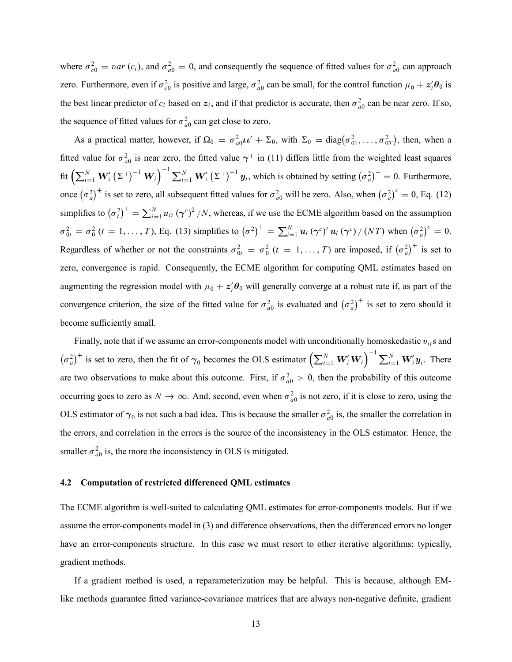where  $\sigma_{c0}^2 = var(c_i)$ , and  $\sigma_{a0}^2 = 0$ , and consequently the sequence of fitted values for  $\sigma_{a0}^2$  can approach zero. Furthermore, even if  $\sigma_{c0}^2$  is positive and large,  $\sigma_{a0}^2$  can be small, for the control function  $\mu_0 + z_i' \theta_0$  is the best linear predictor of  $c_i$  based on  $z_i$ , and if that predictor is accurate, then  $\sigma_{a0}^2$  can be near zero. If so, the sequence of fitted values for  $\sigma_{a0}^2$  can get close to zero.

As a practical matter, however, if  $\Omega_0 = \sigma_{a0}^2 \mu' + \Sigma_0$ , with  $\Sigma_0 = \text{diag}(\sigma_{01}^2, \dots, \sigma_{0T}^2)$ , then, when a fitted value for  $\sigma_{a0}^2$  is near zero, the fitted value  $\gamma^+$  in (11) differs little from the weighted least squares fit  $\left(\sum_{i=1}^N W'_i \left(\Sigma^+\right)^{-1} \mathbf{W}_i\right)^{-1} \sum_{i=1}^N W'_i \left(\Sigma^+\right)^{-1} \mathbf{y}_i$ , which is obtained by setting  $\left(\sigma_a^2\right)^+ = 0$ . Furthermore, once  $(\sigma_a^2)^+$  is set to zero, all subsequent fitted values for  $\sigma_{a0}^2$  will be zero. Also, when  $(\sigma_a^2)^c = 0$ , Eq. (12) simplifies to  $(\sigma_i^2)^+ = \sum_{i=1}^N u_{it} (\gamma^c)^2/N$ , whereas, if we use the ECME algorithm based on the assumption  $\sigma_{0t}^2 = \sigma_0^2$  (*t* = 1, ..., *T*), Eq. (13) simplifies to  $(\sigma^2)^+ = \sum_{i=1}^N u_i (\gamma^c)' u_i (\gamma^c) / (NT)$  when  $(\sigma_a^2)^c = 0$ . Regardless of whether or not the constraints  $\sigma_{0t}^2 = \sigma_0^2$   $(t = 1, ..., T)$  are imposed, if  $(\sigma_a^2)^+$  is set to zero, convergence is rapid. Consequently, the ECME algorithm for computing QML estimates based on augmenting the regression model with  $\mu_0 + z_i' \theta_0$  will generally converge at a robust rate if, as part of the convergence criterion, the size of the fitted value for  $\sigma_{a0}^2$  is evaluated and  $(\sigma_a^2)^+$  is set to zero should it become sufficiently small.

Finally, note that if we assume an error-components model with unconditionally homoskedastic  $v_{it}$ s and  $(\sigma_a^2)^+$  is set to zero, then the fit of  $\gamma_0$  becomes the OLS estimator  $\left(\sum_{i=1}^N \mathbf{W}_i' \mathbf{W}_i\right)^{-1} \sum_{i=1}^N \mathbf{W}_i' y_i$ . There are two observations to make about this outcome. First, if  $\sigma_{a0}^2 > 0$ , then the probability of this outcome occurring goes to zero as  $N \to \infty$ . And, second, even when  $\sigma_{a0}^2$  is not zero, if it is close to zero, using the OLS estimator of  $\gamma_0$  is not such a bad idea. This is because the smaller  $\sigma_{a0}^2$  is, the smaller the correlation in the errors, and correlation in the errors is the source of the inconsistency in the OLS estimator. Hence, the smaller  $\sigma_{a0}^2$  is, the more the inconsistency in OLS is mitigated.

## 4.2 Computation of restricted differenced QML estimates

The ECME algorithm is well-suited to calculating QML estimates for error-components models. But if we assume the error-components model in (3) and difference observations, then the differenced errors no longer have an error-components structure. In this case we must resort to other iterative algorithms; typically, gradient methods.

If a gradient method is used, a reparameterization may be helpful. This is because, although EMlike methods guarantee fitted variance-covariance matrices that are always non-negative definite, gradient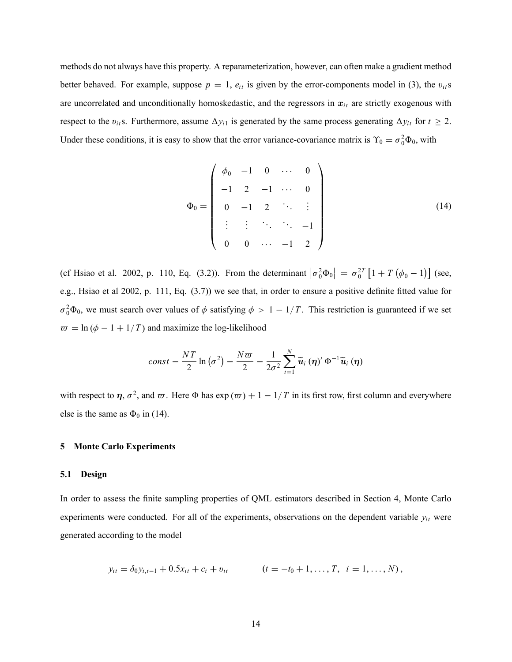methods do not always have this property. A reparameterization, however, can often make a gradient method better behaved. For example, suppose  $p = 1$ ,  $e_{it}$  is given by the error-components model in (3), the  $v_{it}$ s are uncorrelated and unconditionally homoskedastic, and the regressors in  $x_{it}$  are strictly exogenous with respect to the  $v_{it}$ s. Furthermore, assume  $\Delta y_{i1}$  is generated by the same process generating  $\Delta y_{it}$  for  $t \ge 2$ . Under these conditions, it is easy to show that the error variance-covariance matrix is  $\Upsilon_0 = \sigma_0^2 \Phi_0$ , with

$$
\Phi_0 = \left(\begin{array}{cccccc}\n\phi_0 & -1 & 0 & \cdots & 0 \\
-1 & 2 & -1 & \cdots & 0 \\
0 & -1 & 2 & \ddots & \vdots \\
\vdots & \vdots & \ddots & \ddots & -1 \\
0 & 0 & \cdots & -1 & 2\n\end{array}\right) \tag{14}
$$

(cf Hsiao et al. 2002, p. 110, Eq. (3.2)). From the determinant  $|\sigma_0^2 \Phi_0| = \sigma_0^{2T} [1 + T (\phi_0 - 1)]$  (see, e.g., Hsiao et al 2002, p. 111, Eq. (3.7)) we see that, in order to ensure a positive definite fitted value for  $\sigma_0^2 \Phi_0$ , we must search over values of  $\phi$  satisfying  $\phi > 1 - 1/T$ . This restriction is guaranteed if we set  $\bar{w} = \ln (\phi - 1 + 1/T)$  and maximize the log-likelihood

$$
const-\frac{NT}{2}\ln(\sigma^2)-\frac{N\varpi}{2}-\frac{1}{2\sigma^2}\sum_{i=1}^N\widetilde{\boldsymbol{u}}_i(\boldsymbol{\eta})'\,\Phi^{-1}\widetilde{\boldsymbol{u}}_i(\boldsymbol{\eta})
$$

with respect to  $\eta$ ,  $\sigma^2$ , and  $\omega$ . Here  $\Phi$  has  $\exp(\omega t) + 1 - 1/T$  in its first row, first column and everywhere else is the same as  $\Phi_0$  in (14).

## 5 Monte Carlo Experiments

## 5.1 Design

In order to assess the finite sampling properties of QML estimators described in Section 4, Monte Carlo experiments were conducted. For all of the experiments, observations on the dependent variable  $y_{it}$  were generated according to the model

$$
y_{it} = \delta_0 y_{i,t-1} + 0.5x_{it} + c_i + v_{it} \qquad (t = -t_0 + 1, \ldots, T, \quad i = 1, \ldots, N),
$$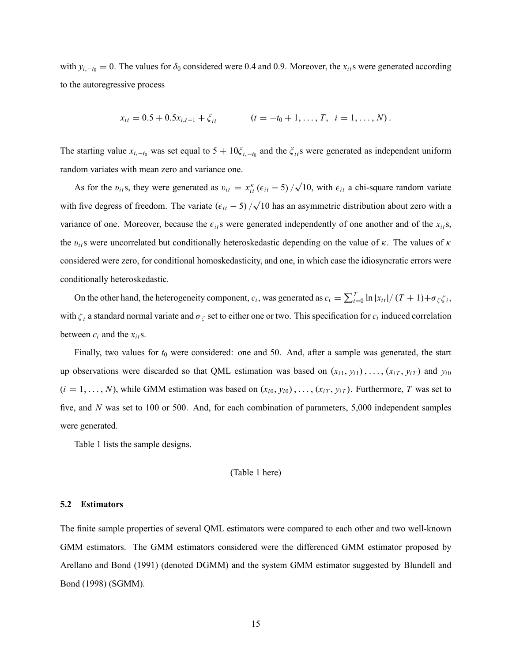with  $y_{i,-t_0} = 0$ . The values for  $\delta_0$  considered were 0.4 and 0.9. Moreover, the  $x_{it}$ s were generated according to the autoregressive process

$$
x_{it} = 0.5 + 0.5x_{i,t-1} + \xi_{it} \qquad (t = -t_0 + 1, \ldots, T, \quad i = 1, \ldots, N).
$$

The starting value  $x_{i, -t_0}$  was set equal to  $5 + 10\xi_{i, -t_0}$  and the  $\xi_{it}$  were generated as independent uniform random variates with mean zero and variance one.

As for the  $v_{it}$ s, they were generated as  $v_{it} = x_{it}^{\kappa}$  ( $\epsilon_{it}$  – 5)  $/\sqrt{10}$ , with  $\epsilon_{it}$  a chi-square random variate with five degress of freedom. The variate  $(\epsilon_{it} - 5) / \sqrt{10}$  has an asymmetric distribution about zero with a variance of one. Moreover, because the  $\epsilon_{it}$ s were generated independently of one another and of the  $x_{it}$ s, the  $v_{it}$ s were uncorrelated but conditionally heteroskedastic depending on the value of  $\kappa$ . The values of  $\kappa$ considered were zero, for conditional homoskedasticity, and one, in which case the idiosyncratic errors were conditionally heteroskedastic.

On the other hand, the heterogeneity component,  $c_i$ , was generated as  $c_i = \sum_{t=0}^{T} \ln |x_{it}| / (T+1) + \sigma_{\zeta} \zeta_i$ , with  $\zeta_i$  a standard normal variate and  $\sigma_{\zeta}$  set to either one or two. This specification for  $c_i$  induced correlation between  $c_i$  and the  $x_{it}$ s.

Finally, two values for  $t_0$  were considered: one and 50. And, after a sample was generated, the start up observations were discarded so that QML estimation was based on  $(x_{i1}, y_{i1}), \ldots, (x_{iT}, y_{iT})$  and  $y_{i0}$  $(i = 1, ..., N)$ , while GMM estimation was based on  $(x_{i0}, y_{i0}), ..., (x_{iT}, y_{iT})$ . Furthermore, T was set to five, and N was set to 100 or 500. And, for each combination of parameters, 5,000 independent samples were generated.

Table 1 lists the sample designs.

(Table 1 here)

## 5.2 Estimators

The finite sample properties of several QML estimators were compared to each other and two well-known GMM estimators. The GMM estimators considered were the differenced GMM estimator proposed by Arellano and Bond (1991) (denoted DGMM) and the system GMM estimator suggested by Blundell and Bond (1998) (SGMM).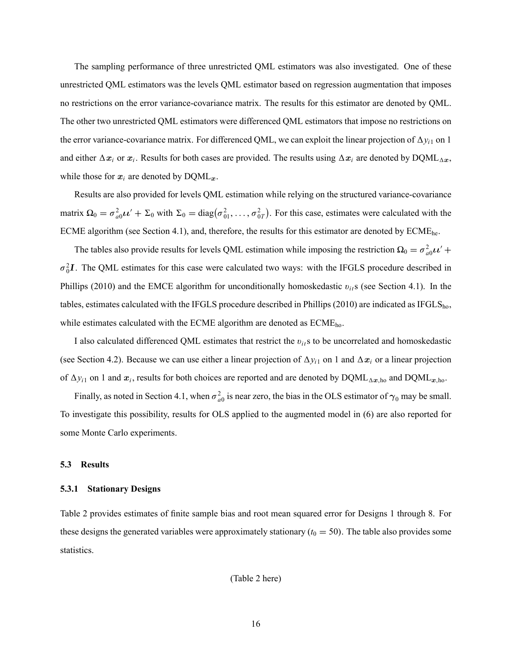The sampling performance of three unrestricted QML estimators was also investigated. One of these unrestricted QML estimators was the levels QML estimator based on regression augmentation that imposes no restrictions on the error variance-covariance matrix. The results for this estimator are denoted by QML. The other two unrestricted QML estimators were differenced QML estimators that impose no restrictions on the error variance-covariance matrix. For differenced QML, we can exploit the linear projection of  $\Delta y_{i1}$  on 1 and either  $\Delta x_i$  or  $x_i$ . Results for both cases are provided. The results using  $\Delta x_i$  are denoted by DQML $_{\Delta x}$ , while those for  $x_i$  are denoted by  $DQML_x$ .

Results are also provided for levels QML estimation while relying on the structured variance-covariance matrix  $\Omega_0 = \sigma_{a0}^2 \mu' + \Sigma_0$  with  $\Sigma_0 = \text{diag}(\sigma_{01}^2, \dots, \sigma_{0T}^2)$ . For this case, estimates were calculated with the ECME algorithm (see Section 4.1), and, therefore, the results for this estimator are denoted by  $\text{ECME}_{\text{he}}$ .

The tables also provide results for levels QML estimation while imposing the restriction  $\Omega_0 = \sigma_{a0}^2 \mu' +$  $\sigma_0^2 I$ . The QML estimates for this case were calculated two ways: with the IFGLS procedure described in Phillips (2010) and the EMCE algorithm for unconditionally homoskedastic  $v_{it}$ s (see Section 4.1). In the tables, estimates calculated with the IFGLS procedure described in Phillips (2010) are indicated as IFGLS<sub>ho</sub>, while estimates calculated with the ECME algorithm are denoted as  $ECME<sub>ho</sub>$ .

I also calculated differenced QML estimates that restrict the  $v_{ij}$  s to be uncorrelated and homoskedastic (see Section 4.2). Because we can use either a linear projection of  $\Delta y_{i1}$  on 1 and  $\Delta x_i$  or a linear projection of  $\Delta y_{i1}$  on 1 and  $x_i$ , results for both choices are reported and are denoted by  $DQML_{\Delta x, ho}$  and  $DQML_{x, ho}$ .

Finally, as noted in Section 4.1, when  $\sigma_{a0}^2$  is near zero, the bias in the OLS estimator of  $\gamma_0$  may be small. To investigate this possibility, results for OLS applied to the augmented model in (6) are also reported for some Monte Carlo experiments.

## 5.3 Results

#### 5.3.1 Stationary Designs

Table 2 provides estimates of finite sample bias and root mean squared error for Designs 1 through 8. For these designs the generated variables were approximately stationary ( $t_0 = 50$ ). The table also provides some statistics.

(Table 2 here)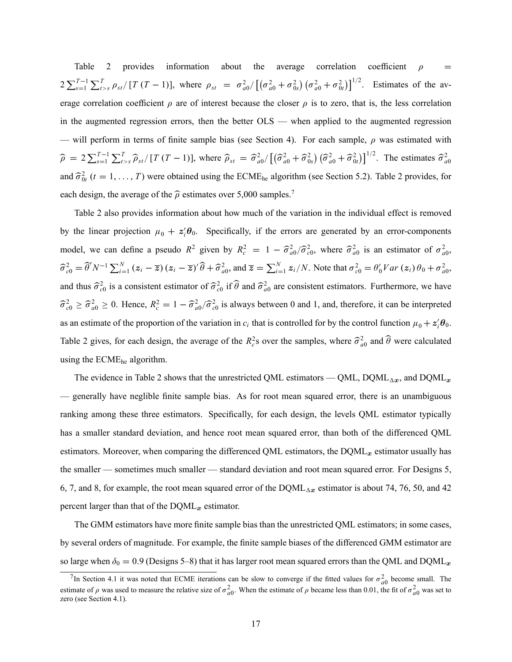Table 2 provides information about the average correlation coefficient  $\rho =$  $2\sum_{s=1}^{T-1}\sum_{t>s}^{T} \rho_{st}/[T(T-1)],$  where  $\rho_{st} = \sigma_{a0}^2/[(\sigma_{a0}^2 + \sigma_{0s}^2)(\sigma_{a0}^2 + \sigma_{0t}^2)]^{1/2}$ . Estimates of the average correlation coefficient  $\rho$  are of interest because the closer  $\rho$  is to zero, that is, the less correlation in the augmented regression errors, then the better  $OLS$  — when applied to the augmented regression — will perform in terms of finite sample bias (see Section 4). For each sample,  $\rho$  was estimated with  $\hat{\rho} = 2 \sum_{s=1}^{T-1} \sum_{t>s}^{T} \hat{\rho}_{st} / [T (T-1)],$  where  $\hat{\rho}_{st} = \hat{\sigma}_{a0}^2 / [(\hat{\sigma}_{a0}^2 + \hat{\sigma}_{0s}^2) (\hat{\sigma}_{a0}^2 + \hat{\sigma}_{0t}^2)]^{1/2}$ . The estimates  $\hat{\sigma}_{a0}^2$ and  $\hat{\sigma}_{0t}^2$  ( $t = 1, ..., T$ ) were obtained using the ECME<sub>he</sub> algorithm (see Section 5.2). Table 2 provides, for each design, the average of the  $\hat{\rho}$  estimates over 5,000 samples.<sup>7</sup>

Table 2 also provides information about how much of the variation in the individual effect is removed by the linear projection  $\mu_0 + z_i' \theta_0$ . Specifically, if the errors are generated by an error-components model, we can define a pseudo  $R^2$  given by  $R_c^2 = 1 - \hat{\sigma}_{a0}^2 / \hat{\sigma}_{c0}^2$ , where  $\hat{\sigma}_{a0}^2$  is an estimator of  $\sigma_{a0}^2$ ,  $\hat{\sigma}_{c0}^2 = \hat{\theta}' N^{-1} \sum_{i=1}^N (z_i - \overline{z}) (z_i - \overline{z})' \hat{\theta} + \hat{\sigma}_{a0}^2$ , and  $\overline{z} = \sum_{i=1}^N z_i / N$ . Note that  $\sigma_{c0}^2 = \theta_0' Var(z_i) \theta_0 + \sigma_{a0}^2$ , and thus  $\hat{\sigma}_{c0}^2$  is a consistent estimator of  $\hat{\sigma}_{c0}^2$  if  $\hat{\theta}$  and  $\hat{\sigma}_{a0}^2$  are consistent estimators. Furthermore, we have  $\hat{\sigma}_{c0}^2 \ge \hat{\sigma}_{a0}^2 \ge 0$ . Hence,  $R_c^2 = 1 - \hat{\sigma}_{a0}^2/\hat{\sigma}_{c0}^2$  is always between 0 and 1, and, therefore, it can be interpreted as an estimate of the proportion of the variation in  $c_i$  that is controlled for by the control function  $\mu_0 + z_i' \theta_0$ . Table 2 gives, for each design, the average of the  $R_c^2$ s over the samples, where  $\hat{\sigma}_{a0}^2$  and  $\hat{\theta}$  were calculated using the ECMEhe algorithm.

The evidence in Table 2 shows that the unrestricted QML estimators — QML, DQML<sub> $\Delta x$ </sub>, and DQML<sub>x</sub> — generally have neglible finite sample bias. As for root mean squared error, there is an unambiguous ranking among these three estimators. Specifically, for each design, the levels QML estimator typically has a smaller standard deviation, and hence root mean squared error, than both of the differenced QML estimators. Moreover, when comparing the differenced QML estimators, the  $DQML<sub>x</sub>$  estimator usually has the smaller – sometimes much smaller – standard deviation and root mean squared error. For Designs 5, 6, 7, and 8, for example, the root mean squared error of the  $DQML_{\Delta x}$  estimator is about 74, 76, 50, and 42 percent larger than that of the  $DQML_x$  estimator.

The GMM estimators have more finite sample bias than the unrestricted QML estimators; in some cases, by several orders of magnitude. For example, the finite sample biases of the differenced GMM estimator are so large when  $\delta_0 = 0.9$  (Designs 5–8) that it has larger root mean squared errors than the QML and DQML<sub>x</sub>

<sup>&</sup>lt;sup>7</sup>In Section 4.1 it was noted that ECME iterations can be slow to converge if the fitted values for  $\sigma_{a0}^2$  become small. The estimate of  $\rho$  was used to measure the relative size of  $\sigma_{a0}^2$ . When the estimate of  $\rho$  became less than 0.01, the fit of  $\sigma_{a0}^2$  was set to zero (see Section 4.1).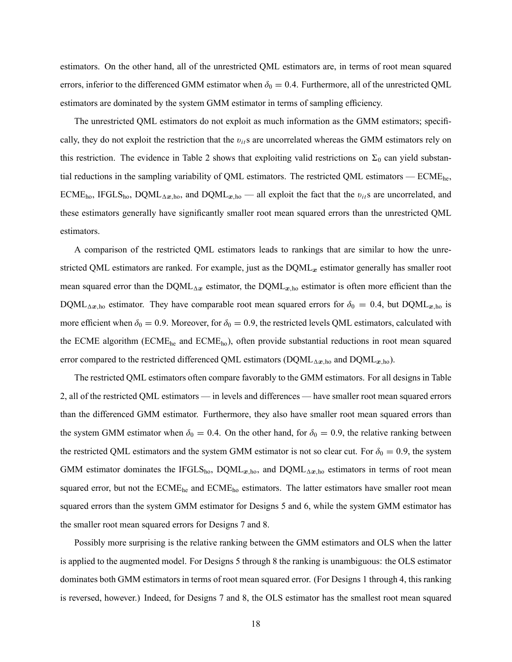estimators. On the other hand, all of the unrestricted QML estimators are, in terms of root mean squared errors, inferior to the differenced GMM estimator when  $\delta_0 = 0.4$ . Furthermore, all of the unrestricted QML estimators are dominated by the system GMM estimator in terms of sampling efficiency.

The unrestricted QML estimators do not exploit as much information as the GMM estimators; specifically, they do not exploit the restriction that the  $v_{it}$ s are uncorrelated whereas the GMM estimators rely on this restriction. The evidence in Table 2 shows that exploiting valid restrictions on  $\Sigma_0$  can yield substantial reductions in the sampling variability of QML estimators. The restricted QML estimators  $-$  ECME<sub>he</sub>, ECME<sub>ho</sub>, IFGLS<sub>ho</sub>, DQML<sub> $\Delta x$ ,ho, and DQML<sub>x,ho</sub> – all exploit the fact that the  $v_{i}$ s are uncorrelated, and</sub> these estimators generally have significantly smaller root mean squared errors than the unrestricted QML estimators.

A comparison of the restricted QML estimators leads to rankings that are similar to how the unrestricted QML estimators are ranked. For example, just as the  $DQML<sub>x</sub>$  estimator generally has smaller root mean squared error than the DQML<sub> $\Delta x$ </sub> estimator, the DQML<sub>x,ho</sub> estimator is often more efficient than the DQML<sub> $\Delta x$ ,ho estimator. They have comparable root mean squared errors for  $\delta_0 = 0.4$ , but DQML<sub>x,ho</sub> is</sub> more efficient when  $\delta_0 = 0.9$ . Moreover, for  $\delta_0 = 0.9$ , the restricted levels QML estimators, calculated with the ECME algorithm (ECMEhe and ECMEho), often provide substantial reductions in root mean squared error compared to the restricted differenced QML estimators (DQML<sub> $\Delta x$ ,ho</sub> and DQML<sub> $x$ ,ho</sub>).

The restricted QML estimators often compare favorably to the GMM estimators. For all designs in Table 2, all of the restricted QML estimators — in levels and differences — have smaller root mean squared errors than the differenced GMM estimator. Furthermore, they also have smaller root mean squared errors than the system GMM estimator when  $\delta_0 = 0.4$ . On the other hand, for  $\delta_0 = 0.9$ , the relative ranking between the restricted QML estimators and the system GMM estimator is not so clear cut. For  $\delta_0 = 0.9$ , the system GMM estimator dominates the IFGLS<sub>ho</sub>, DQML<sub>x,ho</sub>, and DQML<sub>Ax,ho</sub> estimators in terms of root mean squared error, but not the ECME<sub>he</sub> and ECME<sub>ho</sub> estimators. The latter estimators have smaller root mean squared errors than the system GMM estimator for Designs 5 and 6, while the system GMM estimator has the smaller root mean squared errors for Designs 7 and 8.

Possibly more surprising is the relative ranking between the GMM estimators and OLS when the latter is applied to the augmented model. For Designs 5 through 8 the ranking is unambiguous: the OLS estimator dominates both GMM estimators in terms of root mean squared error. (For Designs 1 through 4, this ranking is reversed, however.) Indeed, for Designs 7 and 8, the OLS estimator has the smallest root mean squared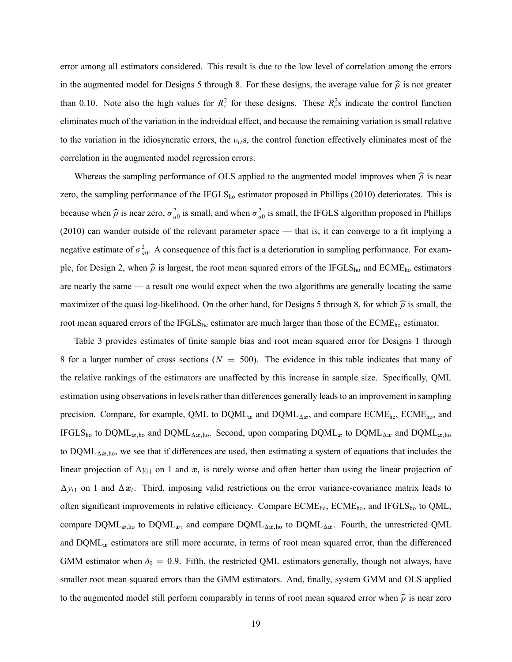error among all estimators considered. This result is due to the low level of correlation among the errors in the augmented model for Designs 5 through 8. For these designs, the average value for  $\hat{\rho}$  is not greater than 0.10. Note also the high values for  $R_c^2$  for these designs. These  $R_c^2$ s indicate the control function eliminates much of the variation in the individual effect, and because the remaining variation is small relative to the variation in the idiosyncratic errors, the  $v_{ij}$ s, the control function effectively eliminates most of the correlation in the augmented model regression errors.

Whereas the sampling performance of OLS applied to the augmented model improves when  $\hat{\rho}$  is near zero, the sampling performance of the IFGLS $_{ho}$  estimator proposed in Phillips (2010) deteriorates. This is because when  $\hat{\rho}$  is near zero,  $\sigma_{a0}^2$  is small, and when  $\sigma_{a0}^2$  is small, the IFGLS algorithm proposed in Phillips  $(2010)$  can wander outside of the relevant parameter space — that is, it can converge to a fit implying a negative estimate of  $\sigma_{a0}^2$ . A consequence of this fact is a deterioration in sampling performance. For example, for Design 2, when  $\hat{\rho}$  is largest, the root mean squared errors of the IFGLS<sub>ho</sub> and ECME<sub>ho</sub> estimators are nearly the same — a result one would expect when the two algorithms are generally locating the same maximizer of the quasi log-likelihood. On the other hand, for Designs 5 through 8, for which  $\hat{\rho}$  is small, the root mean squared errors of the IFGLS<sub>he</sub> estimator are much larger than those of the ECME<sub>ho</sub> estimator.

Table 3 provides estimates of finite sample bias and root mean squared error for Designs 1 through 8 for a larger number of cross sections ( $N = 500$ ). The evidence in this table indicates that many of the relative rankings of the estimators are unaffected by this increase in sample size. Specifically, QML estimation using observations in levels rather than differences generally leads to an improvement in sampling precision. Compare, for example, QML to  $DQML_x$  and  $DQML_{\Delta}x$ , and compare ECME<sub>he</sub>, ECME<sub>ho</sub>, and IFGLS<sub>ho</sub> to DQML<sub>x,ho</sub> and DQML<sub>Ax,ho</sub>. Second, upon comparing DQML<sub>x</sub> to DQML<sub>Ax</sub> and DQML<sub>x,ho</sub> to  $DQML_{\Delta x, ho}$ , we see that if differences are used, then estimating a system of equations that includes the linear projection of  $\Delta y_{i1}$  on 1 and  $x_i$  is rarely worse and often better than using the linear projection of  $\Delta y_{i1}$  on 1 and  $\Delta x_i$ . Third, imposing valid restrictions on the error variance-covariance matrix leads to often significant improvements in relative efficiency. Compare ECME<sub>he</sub>, ECME<sub>ho</sub>, and IFGLS<sub>ho</sub> to QML, compare  $DQML_{x,ho}$  to  $DQML_x$ , and compare  $DQML_{\Delta x,ho}$  to  $DQML_{\Delta x}$ . Fourth, the unrestricted QML and  $DQML<sub>x</sub>$  estimators are still more accurate, in terms of root mean squared error, than the differenced GMM estimator when  $\delta_0 = 0.9$ . Fifth, the restricted QML estimators generally, though not always, have smaller root mean squared errors than the GMM estimators. And, finally, system GMM and OLS applied to the augmented model still perform comparably in terms of root mean squared error when  $\hat{\rho}$  is near zero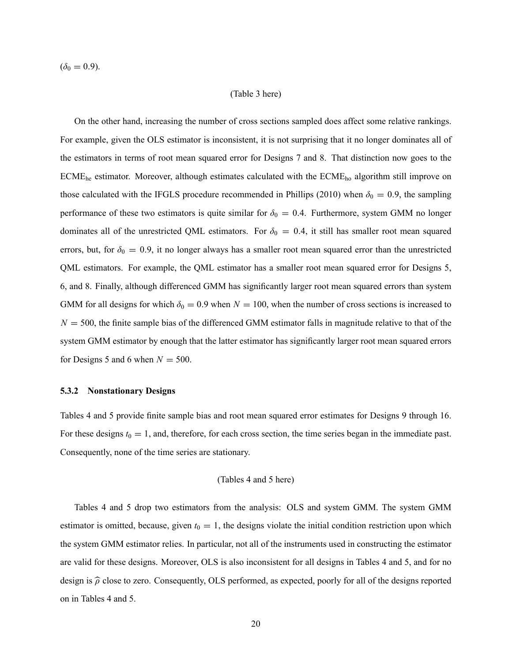$(\delta_0 = 0.9).$ 

## (Table 3 here)

On the other hand, increasing the number of cross sections sampled does affect some relative rankings. For example, given the OLS estimator is inconsistent, it is not surprising that it no longer dominates all of the estimators in terms of root mean squared error for Designs 7 and 8. That distinction now goes to the ECMEhe estimator. Moreover, although estimates calculated with the ECMEho algorithm still improve on those calculated with the IFGLS procedure recommended in Phillips (2010) when  $\delta_0 = 0.9$ , the sampling performance of these two estimators is quite similar for  $\delta_0 = 0.4$ . Furthermore, system GMM no longer dominates all of the unrestricted QML estimators. For  $\delta_0 = 0.4$ , it still has smaller root mean squared errors, but, for  $\delta_0 = 0.9$ , it no longer always has a smaller root mean squared error than the unrestricted QML estimators. For example, the QML estimator has a smaller root mean squared error for Designs 5, 6, and 8. Finally, although differenced GMM has significantly larger root mean squared errors than system GMM for all designs for which  $\delta_0 = 0.9$  when  $N = 100$ , when the number of cross sections is increased to  $N = 500$ , the finite sample bias of the differenced GMM estimator falls in magnitude relative to that of the system GMM estimator by enough that the latter estimator has significantly larger root mean squared errors for Designs 5 and 6 when  $N = 500$ .

## 5.3.2 Nonstationary Designs

Tables 4 and 5 provide finite sample bias and root mean squared error estimates for Designs 9 through 16. For these designs  $t_0 = 1$ , and, therefore, for each cross section, the time series began in the immediate past. Consequently, none of the time series are stationary.

## (Tables 4 and 5 here)

Tables 4 and 5 drop two estimators from the analysis: OLS and system GMM. The system GMM estimator is omitted, because, given  $t_0 = 1$ , the designs violate the initial condition restriction upon which the system GMM estimator relies. In particular, not all of the instruments used in constructing the estimator are valid for these designs. Moreover, OLS is also inconsistent for all designs in Tables 4 and 5, and for no design is  $\hat{\rho}$  close to zero. Consequently, OLS performed, as expected, poorly for all of the designs reported on in Tables 4 and 5.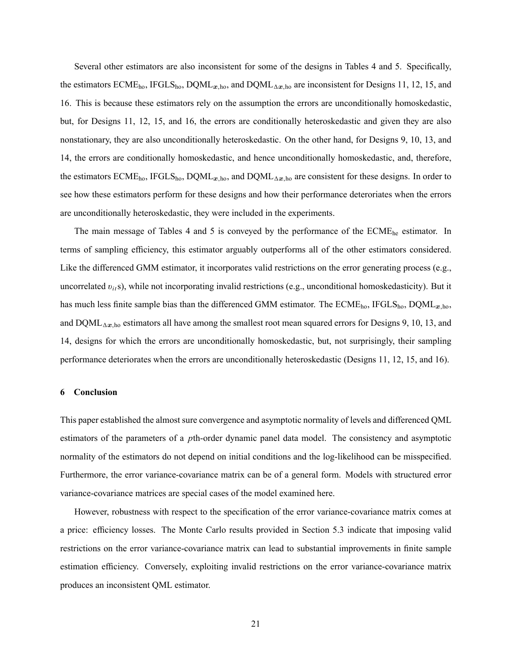Several other estimators are also inconsistent for some of the designs in Tables 4 and 5. Specifically, the estimators ECME<sub>ho</sub>, IFGLS<sub>ho</sub>, DQML<sub>x,ho</sub>, and DQML<sub>Ax,ho</sub> are inconsistent for Designs 11, 12, 15, and 16. This is because these estimators rely on the assumption the errors are unconditionally homoskedastic, but, for Designs 11, 12, 15, and 16, the errors are conditionally heteroskedastic and given they are also nonstationary, they are also unconditionally heteroskedastic. On the other hand, for Designs 9, 10, 13, and 14, the errors are conditionally homoskedastic, and hence unconditionally homoskedastic, and, therefore, the estimators ECME<sub>ho</sub>, IFGLS<sub>ho</sub>, DQML<sub>x,ho</sub>, and DQML<sub>Ax,ho</sub> are consistent for these designs. In order to see how these estimators perform for these designs and how their performance deteroriates when the errors are unconditionally heteroskedastic, they were included in the experiments.

The main message of Tables 4 and 5 is conveyed by the performance of the ECME<sub>he</sub> estimator. In terms of sampling efficiency, this estimator arguably outperforms all of the other estimators considered. Like the differenced GMM estimator, it incorporates valid restrictions on the error generating process (e.g., uncorrelated  $v_{it}$ s), while not incorporating invalid restrictions (e.g., unconditional homoskedasticity). But it has much less finite sample bias than the differenced GMM estimator. The  $ECME<sub>ho</sub>$ , IFGLS<sub>ho</sub>, DQML<sub>x,ho</sub>, and  $DQML_{\Delta x, ho}$  estimators all have among the smallest root mean squared errors for Designs 9, 10, 13, and 14, designs for which the errors are unconditionally homoskedastic, but, not surprisingly, their sampling performance deteriorates when the errors are unconditionally heteroskedastic (Designs 11, 12, 15, and 16).

## 6 Conclusion

This paper established the almost sure convergence and asymptotic normality of levels and differenced QML estimators of the parameters of a pth-order dynamic panel data model. The consistency and asymptotic normality of the estimators do not depend on initial conditions and the log-likelihood can be misspecified. Furthermore, the error variance-covariance matrix can be of a general form. Models with structured error variance-covariance matrices are special cases of the model examined here.

However, robustness with respect to the specification of the error variance-covariance matrix comes at a price: efficiency losses. The Monte Carlo results provided in Section 5.3 indicate that imposing valid restrictions on the error variance-covariance matrix can lead to substantial improvements in finite sample estimation efficiency. Conversely, exploiting invalid restrictions on the error variance-covariance matrix produces an inconsistent QML estimator.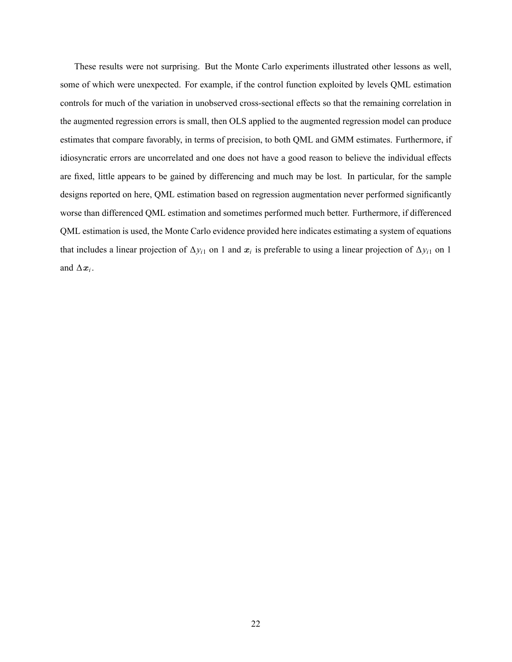These results were not surprising. But the Monte Carlo experiments illustrated other lessons as well, some of which were unexpected. For example, if the control function exploited by levels QML estimation controls for much of the variation in unobserved cross-sectional effects so that the remaining correlation in the augmented regression errors is small, then OLS applied to the augmented regression model can produce estimates that compare favorably, in terms of precision, to both QML and GMM estimates. Furthermore, if idiosyncratic errors are uncorrelated and one does not have a good reason to believe the individual effects are fixed, little appears to be gained by differencing and much may be lost. In particular, for the sample designs reported on here, QML estimation based on regression augmentation never performed significantly worse than differenced QML estimation and sometimes performed much better. Furthermore, if differenced QML estimation is used, the Monte Carlo evidence provided here indicates estimating a system of equations that includes a linear projection of  $\Delta y_{i1}$  on 1 and  $x_i$  is preferable to using a linear projection of  $\Delta y_{i1}$  on 1 and  $\Delta x_i$ .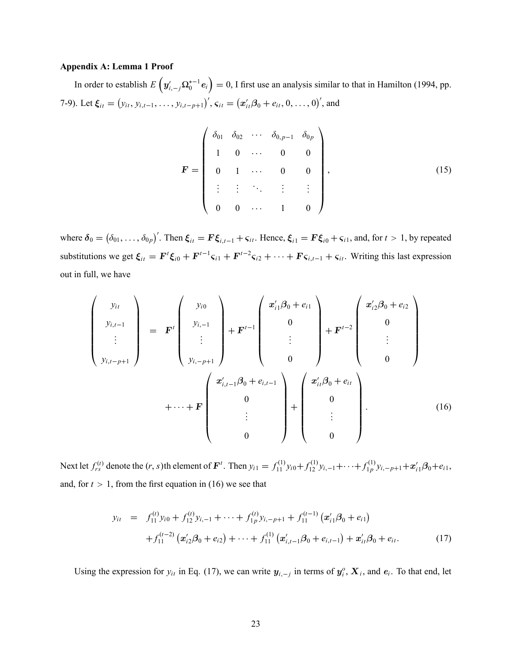## Appendix A: Lemma 1 Proof

In order to establish  $E\left(y'_{i,-j}\Omega^{*-1}_0e_i\right)=0$ , I first use an analysis similar to that in Hamilton (1994, pp. 7-9). Let  $\xi_{it} = (y_{it}, y_{i,t-1}, \ldots, y_{i,t-p+1})'$ ,  $\varsigma_{it} = (x'_{it}, \beta_0 + e_{it}, 0, \ldots, 0)'$ , and

$$
\mathbf{F} = \begin{pmatrix} \delta_{01} & \delta_{02} & \cdots & \delta_{0,p-1} & \delta_{0p} \\ 1 & 0 & \cdots & 0 & 0 \\ 0 & 1 & \cdots & 0 & 0 \\ \vdots & \vdots & \ddots & \vdots & \vdots \\ 0 & 0 & \cdots & 1 & 0 \end{pmatrix},
$$
(15)

where  $\delta_0 = (\delta_{01}, \ldots, \delta_{0p})'$ . Then  $\xi_{it} = \mathbf{F} \xi_{i,t-1} + \varsigma_{it}$ . Hence,  $\xi_{i1} = \mathbf{F} \xi_{i0} + \varsigma_{i1}$ , and, for  $t > 1$ , by repeated substitutions we get  $\xi_{it} = \mathbf{F}^t \xi_{i0} + \mathbf{F}^{t-1} \xi_{i1} + \mathbf{F}^{t-2} \xi_{i2} + \cdots + \mathbf{F} \xi_{i,t-1} + \xi_{it}$ . Writing this last expression out in full, we have

$$
\begin{pmatrix}\ny_{it} \\
y_{i,t-1} \\
\vdots \\
y_{i,t-p+1}\n\end{pmatrix} = \mathbf{F}^{t} \begin{pmatrix}\ny_{i0} \\
y_{i,-1} \\
\vdots \\
y_{i,-p+1}\n\end{pmatrix} + \mathbf{F}^{t-1} \begin{pmatrix}\nx'_{i1}\beta_{0} + e_{i1} \\
0 \\
\vdots \\
0\n\end{pmatrix} + \mathbf{F}^{t-2} \begin{pmatrix}\nx'_{i2}\beta_{0} + e_{i2} \\
0 \\
\vdots \\
0\n\end{pmatrix} \\
+ \cdots + \mathbf{F} \begin{pmatrix}\nx'_{i,t-1}\beta_{0} + e_{i,t-1} \\
0 \\
\vdots \\
0\n\end{pmatrix} + \begin{pmatrix}\nx'_{it}\beta_{0} + e_{it} \\
0 \\
\vdots \\
0\n\end{pmatrix}.
$$
\n(16)

Next let  $f_{rs}^{(t)}$  denote the  $(r, s)$ th element of  $\mathbf{F}^t$ . Then  $y_{i1} = f_{11}^{(1)} y_{i0} + f_{12}^{(1)} y_{i,-1} + \cdots + f_{1p}^{(1)}$  $\sum_{i}^{(1)} y_{i,-p+1} + x'_{i1} \beta_0 + e_{i1},$ and, for  $t > 1$ , from the first equation in (16) we see that

$$
y_{it} = f_{11}^{(t)} y_{i0} + f_{12}^{(t)} y_{i,-1} + \dots + f_{1p}^{(t)} y_{i,-p+1} + f_{11}^{(t-1)} (x_{i1}' \beta_0 + e_{i1})
$$
  
+ 
$$
f_{11}^{(t-2)} (x_{i2}' \beta_0 + e_{i2}) + \dots + f_{11}^{(1)} (x_{i,t-1}' \beta_0 + e_{i,t-1}) + x_{it}' \beta_0 + e_{it}.
$$
 (17)

Using the expression for  $y_{it}$  in Eq. (17), we can write  $y_{i,-j}$  in terms of  $y_i^o$ ,  $X_i$ , and  $e_i$ . To that end, let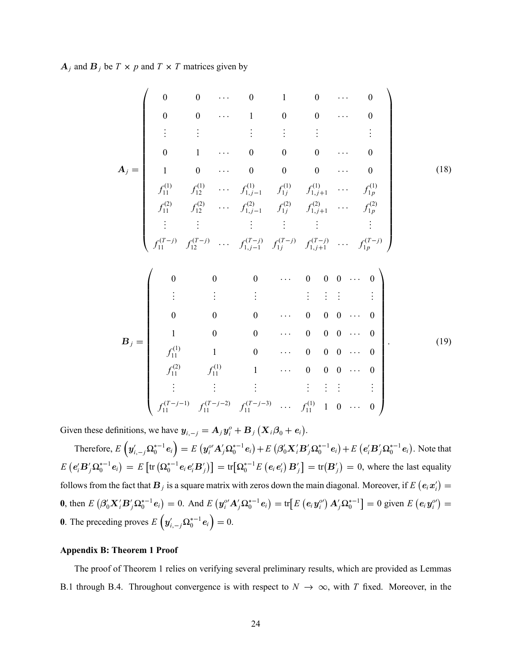$A_j$  and  $B_j$  be  $T \times p$  and  $T \times T$  matrices given by

$$
A_{j} = \begin{pmatrix}\n0 & 0 & \cdots & 0 & 1 & 0 & \cdots & 0 \\
0 & 0 & \cdots & 1 & 0 & 0 & \cdots & 0 \\
\vdots & \vdots & \vdots & \vdots & \vdots & \vdots & \vdots \\
0 & 1 & \cdots & 0 & 0 & 0 & \cdots & 0 \\
f_{11}^{(1)} & f_{12}^{(1)} & \cdots & f_{1,j-1}^{(1)} & f_{1j}^{(1)} & f_{1,j+1}^{(1)} & \cdots & f_{1p}^{(1)} \\
f_{11}^{(2)} & f_{12}^{(2)} & \cdots & f_{1,j-1}^{(2)} & f_{1j}^{(2)} & f_{1,j+1}^{(2)} & \cdots & f_{1p}^{(2)} \\
\vdots & \vdots & \vdots & \vdots & \vdots & \vdots & \vdots \\
f_{11}^{(T-j)} & f_{12}^{(T-j)} & \cdots & f_{1,j-1}^{(T-j)} & f_{1j}^{(T-j)} & f_{1,j+1}^{(T-j)} & \cdots & f_{1p}^{(T-j)}\n\end{pmatrix}
$$
\n
$$
B_{j} = \begin{pmatrix}\n0 & 0 & 0 & \cdots & 0 & 0 & 0 & \cdots & 0 \\
0 & 0 & 0 & \cdots & 0 & 0 & 0 & \cdots & 0 \\
\vdots & \vdots & \vdots & \vdots & \vdots & \vdots & \vdots & \vdots \\
0 & 0 & 0 & \cdots & 0 & 0 & 0 & \cdots & 0 \\
1 & 0 & 0 & \cdots & 0 & 0 & 0 & \cdots & 0 \\
f_{11}^{(1)} & 1 & 0 & \cdots & 0 & 0 & 0 & \cdots & 0 \\
f_{11}^{(2)} & f_{11}^{(1)} & 1 & \cdots & 0 & 0 & 0 & \cdots & 0 \\
f_{11}^{(2)} & f_{11}^{(1)} & 1 & \cdots & 0 & 0 & 0 & \cdots & 0 \\
\vdots & \vdots & \vdots & \vdots & \vdots & \vdots & \vdots & \vdots \\
f_{11}^{(T-j-1)} & f_{11}^{(T-j-2)} & f_{11}^{(T-j-3)} & \cdots & f_{11}^{(1)} & 1 & 0 & \cdots & 0\n\end
$$

Given these definitions, we have  $y_{i,-j} = A_j y_i^o + B_j (X_i \beta_0 + e_i)$ .

Therefore,  $E(g'_{i,-j}\Omega_0^{*-1}e_i) = E(g''_iA'_j\Omega_0^{*-1}e_i) + E(g'_0X'_iB'_j\Omega_0^{*-1}e_i) + E(e'_iB'_j\Omega_0^{*-1}e_i)$ . Note that  $E(e_i'B_j'\Omega_0^{*-1}e_i) = E[\text{tr}(\Omega_0^{*-1}e_ie_i'B_j')] = \text{tr}[\Omega_0^{*-1}E(e_ie_i')B_j'] = \text{tr}(B_j') = 0$ , where the last equality follows from the fact that  $B_j$  is a square matrix with zeros down the main diagonal. Moreover, if  $E(e_i x'_i) =$ **0**, then  $E(\beta_0' \mathbf{X}_i' \mathbf{B}_j' \Omega_0^{*-1} e_i) = 0$ . And  $E(\mathbf{y}_i^{o'} \mathbf{A}_j' \Omega_0^{*-1} e_i) = \text{tr}[E(\mathbf{e}_i \mathbf{y}_i^{o'}) \mathbf{A}_j' \Omega_0^{*-1}] = 0$  given  $E(\mathbf{e}_i \mathbf{y}_i^{o'}) = 0$ **0**. The preceding proves  $E\left(y'_{i,-j}\Omega_0^{*-1}e_i\right) = 0$ .

## Appendix B: Theorem 1 Proof

The proof of Theorem 1 relies on verifying several preliminary results, which are provided as Lemmas B.1 through B.4. Throughout convergence is with respect to  $N \to \infty$ , with T fixed. Moreover, in the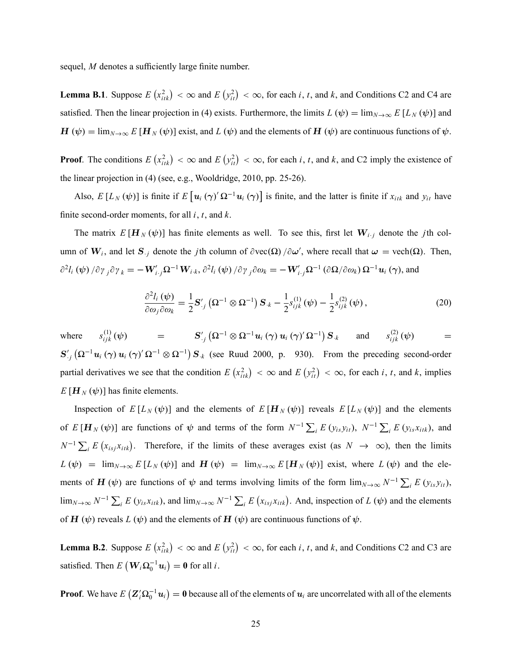sequel,  $M$  denotes a sufficiently large finite number.

**Lemma B.1**. Suppose  $E(r_{iik}^2) < \infty$  and  $E(r_{iik}^2) < \infty$ , for each *i*, *t*, and *k*, and Conditions C2 and C4 are satisfied. Then the linear projection in (4) exists. Furthermore, the limits  $L(\psi) = \lim_{N \to \infty} E[L_N(\psi)]$  and  $H(\psi) = \lim_{N \to \infty} E[H_N(\psi)]$  exist, and  $L(\psi)$  and the elements of  $H(\psi)$  are continuous functions of  $\psi$ .

**Proof.** The conditions  $E\left(x_{itk}^2\right) < \infty$  and  $E\left(y_{it}^2\right) < \infty$ , for each i, t, and k, and C2 imply the existence of the linear projection in (4) (see, e.g., Wooldridge, 2010, pp. 25-26).

Also,  $E[L_N(\psi)]$  is finite if  $E[\mathbf{u}_i(\gamma) \Omega^{-1} \mathbf{u}_i(\gamma)]$  is finite, and the latter is finite if  $x_{itk}$  and  $y_{it}$  have finite second-order moments, for all  $i, t$ , and  $k$ .

The matrix  $E[H_N(\psi)]$  has finite elements as well. To see this, first let  $W_{i,j}$  denote the *j*th column of  $W_i$ , and let  $S_{\cdot j}$  denote the *j*th column of  $\partial \text{vec}(\Omega) / \partial \omega'$ , where recall that  $\omega = \text{vech}(\Omega)$ . Then,  $\partial^2 l_i(\psi) / \partial \gamma_{j} \partial \gamma_{k} = -\mathbf{W}'_{i \cdot j} \mathbf{\Omega}^{-1} \mathbf{W}_{i \cdot k}, \partial^2 l_i(\psi) / \partial \gamma_{j} \partial \omega_{k} = -\mathbf{W}'_{i \cdot j} \mathbf{\Omega}^{-1} (\partial \mathbf{\Omega} / \partial \omega_{k}) \mathbf{\Omega}^{-1} \mathbf{u}_{i}(\gamma)$ , and

$$
\frac{\partial^2 l_i(\psi)}{\partial \omega_j \partial \omega_k} = \frac{1}{2} \mathbf{S}'_{.j} \left( \mathbf{\Omega}^{-1} \otimes \mathbf{\Omega}^{-1} \right) \mathbf{S}_{.k} - \frac{1}{2} s_{ijk}^{(1)}(\psi) - \frac{1}{2} s_{ijk}^{(2)}(\psi) , \qquad (20)
$$

where  $s_{ijk}^{(1)}(\psi) = S'_{,j} (\Omega^{-1} \otimes \Omega^{-1} u_i (\gamma) u_i (\gamma)' \Omega^{-1}) S_{,k}$  and  $s_{ijk}^{(2)}(\psi) =$  $S'_{ij}$   $(\Omega^{-1}u_i(\gamma)u_i(\gamma) \Omega^{-1} \otimes \Omega^{-1}) S_{ik}$  (see Ruud 2000, p. 930). From the preceding second-order partial derivatives we see that the condition  $E(x_{itk}^2) < \infty$  and  $E(y_{it}^2) < \infty$ , for each *i*, *t*, and *k*, implies  $E\left[\boldsymbol{H}_{N}\left(\boldsymbol{\psi}\right)\right]$  has finite elements.

Inspection of  $E[L_N(\psi)]$  and the elements of  $E[H_N(\psi)]$  reveals  $E[L_N(\psi)]$  and the elements of  $E[H_N(\psi)]$  are functions of  $\psi$  and terms of the form  $N^{-1}\sum_i E(y_{is}y_{it})$ ,  $N^{-1}\sum_i E(y_{is}x_{itk})$ , and  $N^{-1} \sum_i E(x_{i s j} x_{i t k})$ . Therefore, if the limits of these averages exist (as  $N \to \infty$ ), then the limits  $L(\psi) = \lim_{N \to \infty} E[L_N(\psi)]$  and  $H(\psi) = \lim_{N \to \infty} E[H_N(\psi)]$  exist, where  $L(\psi)$  and the elements of H ( $\psi$ ) are functions of  $\psi$  and terms involving limits of the form  $\lim_{N\to\infty} N^{-1} \sum_i E(y_{is}y_{it})$ ,  $\lim_{N\to\infty} N^{-1} \sum_i E(y_{is}x_{itk})$ , and  $\lim_{N\to\infty} N^{-1} \sum_i E(x_{isj}x_{itk})$ . And, inspection of  $L(\psi)$  and the elements of H  $(\psi)$  reveals L  $(\psi)$  and the elements of H  $(\psi)$  are continuous functions of  $\psi$ .

**Lemma B.2**. Suppose  $E(r_{itk}^2) < \infty$  and  $E(r_{it}^2) < \infty$ , for each *i*, *t*, and *k*, and Conditions C2 and C3 are satisfied. Then  $E\left(\mathbf{W}_i \Omega_0^{-1} \mathbf{u}_i\right) = \mathbf{0}$  for all *i*.

**Proof**. We have  $E(Z_i'\Omega_0^{-1}u_i) = 0$  because all of the elements of  $u_i$  are uncorrelated with all of the elements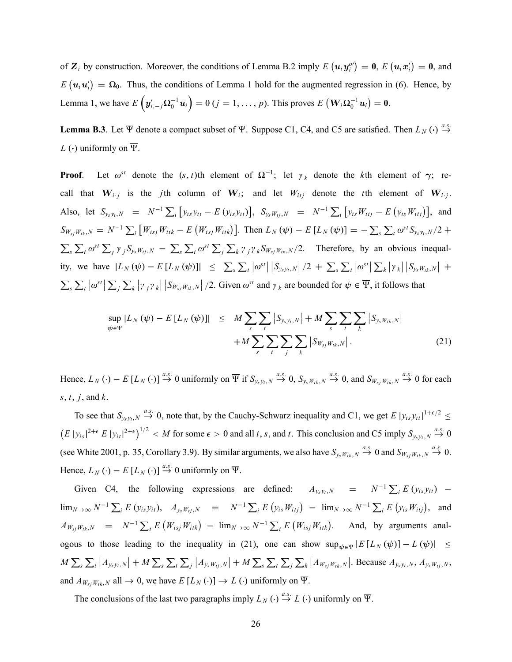of  $\mathbf{Z}_i$  by construction. Moreover, the conditions of Lemma B.2 imply  $E(u_i y_i^{\rho\prime}) = \mathbf{0}$ ,  $E(u_i x_i^{\prime}) = \mathbf{0}$ , and  $E(u_iu'_i) = \Omega_0$ . Thus, the conditions of Lemma 1 hold for the augmented regression in (6). Hence, by Lemma 1, we have  $E\left(y'_{i,-j}\Omega_0^{-1}u_i\right) = 0$   $(j = 1, ..., p)$ . This proves  $E\left(\mathbf{W}_i\Omega_0^{-1}u_i\right) = \mathbf{0}$ .

**Lemma B.3**. Let  $\overline{\Psi}$  denote a compact subset of  $\Psi$ . Suppose C1, C4, and C5 are satisfied. Then  $L_N(\cdot) \stackrel{a.s.}{\rightarrow}$  $\rightarrow$ L ( $\cdot$ ) uniformly on  $\overline{\Psi}$ .

**Proof**. Let  $\omega^{st}$  denote the  $(s, t)$ th element of  $\Omega^{-1}$ ; let  $\gamma_k$  denote the kth element of  $\gamma$ ; recall that  $W_{i,j}$  is the *j*th column of  $W_i$ ; and let  $W_{itj}$  denote the *t*th element of  $W_{i,j}$ . Also, let  $S_{y_s y_t, N} = N^{-1} \sum_i [y_{is} y_{it} - E (y_{is} y_{it})], S_{y_s w_{tj}, N} = N^{-1} \sum_i [y_{is} W_{itj} - E (y_{is} W_{itj})],$  and  $S_{W_{sj}W_{tk},N} = N^{-1} \sum_i [W_{isj}W_{itk} - E(W_{isj}W_{itk})]$ . Then  $L_N(\psi) - E[L_N(\psi)] = -\sum_s \sum_t \omega^{st} S_{y_sy_t,N}/2 +$  $\sum_{s} \sum_{t} \omega^{st} \sum_{j} \gamma_{j} S_{y_s w_{tj},N} - \sum_{s} \sum_{t} \omega^{st} \sum_{j} \sum_{k} \gamma_{j} \gamma_{k} S_{w_{sj} w_{tk},N}/2$ . Therefore, by an obvious inequality, we have  $|L_N(\psi) - E[L_N(\psi)]| \leq \sum_{s} \sum_{t} |\omega^{st}| |S_{y_s y_t, N}|/2 + \sum_{s} \sum_{t} |\omega^{st}| |\sum_{k} |y_k| |S_{y_s W_{tk}, N}| +$  $\sum_{s}\sum_{t} |\omega^{st}| \sum_{j} \sum_{k} |\gamma_{j} \gamma_{k}| |S_{W_{sj}W_{tk},N}|/2$ . Given  $\omega^{st}$  and  $\gamma_{k}$  are bounded for  $\psi \in \overline{\Psi}$ , it follows that

$$
\sup_{\psi \in \overline{\Psi}} |L_N(\psi) - E[L_N(\psi)]| \leq M \sum_{s} \sum_{t} |S_{y_s y_t, N}| + M \sum_{s} \sum_{t} \sum_{k} |S_{y_s W_{tk}, N}| + M \sum_{s} \sum_{t} \sum_{j} \sum_{k} |S_{W_{sj} W_{tk}, N}|.
$$
\n(21)

Hence,  $L_N(\cdot) - E[L_N(\cdot)] \stackrel{a.s.}{\rightarrow} 0$  uniformly on  $\overline{\Psi}$  if  $S_{y_s y_t, N} \stackrel{a.s.}{\rightarrow} 0$ ,  $S_{y_s w_{tk}, N} \stackrel{a.s.}{\rightarrow} 0$ , and  $S_{W_{sj}W_{tk}, N} \stackrel{a.s.}{\rightarrow} 0$  for each s, t, i, and  $k$ .

To see that  $S_{y_s y_t, N} \stackrel{a.s.}{\rightarrow} 0$ , note that, by the Cauchy-Schwarz inequality and C1, we get E  $|y_{is} y_{it}|^{1+\epsilon/2} \le$  $(E |y_{is}|^{2+\epsilon} E |y_{it}|^{2+\epsilon})^{1/2} < M$  for some  $\epsilon > 0$  and all i, s, and t. This conclusion and C5 imply  $S_{y_s y_t, N} \stackrel{a.s.}{\rightarrow} 0$ (see White 2001, p. 35, Corollary 3.9). By similar arguments, we also have  $S_{y_sW_{tk},N} \stackrel{a.s.}{\rightarrow} 0$  and  $S_{W_{sj}W_{tk},N} \stackrel{a.s.}{\rightarrow} 0$ . Hence,  $L_N(\cdot) - E[L_N(\cdot)] \stackrel{a.s.}{\rightarrow} 0$  uniformly on  $\overline{\Psi}$ .

Given C4, the following expressions are defined:  $A_{y_s y_t, N} = N^{-1} \sum_i E(y_{is} y_{it})$  –  $\lim_{N \to \infty} N^{-1} \sum_{i} E(y_{is} y_{it}), \quad A_{y_s w_{tj},N} = N^{-1} \sum_{i} E(y_{is} W_{itj}) - \lim_{N \to \infty} N^{-1} \sum_{i} E(y_{is} W_{itj}),$  and  $A_{W_{sj}W_{tk},N}$  =  $N^{-1}\sum_{i} E\left(W_{isj}W_{itk}\right)$  -  $\lim_{N\to\infty} N^{-1}\sum_{i} E\left(W_{isj}W_{itk}\right)$ . And, by arguments analogous to those leading to the inequality in (21), one can show  $\sup_{\psi \in \overline{\Psi}} |E[L_N(\psi)] - L(\psi)| \le$  $M\sum_{s}\sum_{t} |A_{y_{s}y_{t},N}| + M\sum_{s}\sum_{t}\sum_{j}|A_{y_{s}W_{tj},N}| + M\sum_{s}\sum_{t}\sum_{j}\sum_{k}|A_{W_{sj}W_{tk},N}|$ . Because  $A_{y_{s}y_{t},N}, A_{y_{s}W_{tj},N}, A_{y_{s}W_{tj},N}$ and  $A_{W_{si}W_{tk},N}$  all  $\rightarrow 0$ , we have  $E[L_N(\cdot)] \rightarrow L(\cdot)$  uniformly on  $\overline{\Psi}$ .

The conclusions of the last two paragraphs imply  $L_N(\cdot) \stackrel{a.s.}{\to} L(\cdot)$  uniformly on  $\overline{\Psi}$ .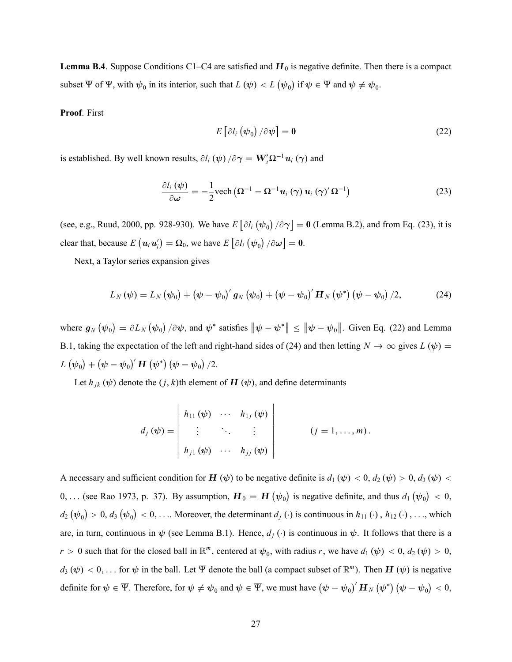**Lemma B.4**. Suppose Conditions C1–C4 are satisfied and  $H_0$  is negative definite. Then there is a compact subset  $\overline{\Psi}$  of  $\Psi$ , with  $\psi_0$  in its interior, such that  $L(\psi) < L(\psi_0)$  if  $\psi \in \overline{\Psi}$  and  $\psi \neq \psi_0$ .

Proof. First

$$
E\left[\partial l_i\left(\psi_0\right)/\partial\psi\right] = \mathbf{0} \tag{22}
$$

is established. By well known results,  $\partial l_i(\psi) / \partial \gamma = W'_i \Omega^{-1} u_i(\gamma)$  and

$$
\frac{\partial l_i(\psi)}{\partial \omega} = -\frac{1}{2} \text{vech} \left( \Omega^{-1} - \Omega^{-1} \boldsymbol{u}_i(\gamma) \, \boldsymbol{u}_i(\gamma) \, \Omega^{-1} \right) \tag{23}
$$

(see, e.g., Ruud, 2000, pp. 928-930). We have  $E[\partial l_i(\psi_0)/\partial \gamma] = 0$  (Lemma B.2), and from Eq. (23), it is clear that, because  $E\left(\boldsymbol{u}_i\boldsymbol{u}_i'\right) = \boldsymbol{\Omega}_0$ , we have  $E\left[\partial l_i\left(\boldsymbol{\psi}_0\right)/\partial \boldsymbol{\omega}\right] = \boldsymbol{0}$ .

Next, a Taylor series expansion gives

$$
L_{N}(\psi) = L_{N}(\psi_{0}) + (\psi - \psi_{0})' g_{N}(\psi_{0}) + (\psi - \psi_{0})' H_{N}(\psi^{*}) (\psi - \psi_{0}) / 2, \qquad (24)
$$

where  $g_N(\psi_0) = \partial L_N(\psi_0) / \partial \psi$ , and  $\psi^*$  satisfies  $\|\psi - \psi^*\| \le \|\psi - \psi_0\|$ . Given Eq. (22) and Lemma B.1, taking the expectation of the left and right-hand sides of (24) and then letting  $N \to \infty$  gives  $L(\psi)$  =  $L\left(\boldsymbol{\psi}_0\right) + \left(\boldsymbol{\psi} - \boldsymbol{\psi}_0\right)'\boldsymbol{H}\left(\boldsymbol{\psi}^*\right)\left(\boldsymbol{\psi} - \boldsymbol{\psi}_0\right)/2.$ 

Let  $h_{jk}(\psi)$  denote the  $(j, k)$ th element of  $\mathbf{H}(\psi)$ , and define determinants

$$
d_j(\psi) = \begin{vmatrix} h_{11}(\psi) & \cdots & h_{1j}(\psi) \\ \vdots & \ddots & \vdots \\ h_{j1}(\psi) & \cdots & h_{jj}(\psi) \end{vmatrix} \qquad (j = 1, \ldots, m).
$$

A necessary and sufficient condition for H  $(\psi)$  to be negative definite is  $d_1 (\psi) < 0$ ,  $d_2 (\psi) > 0$ ,  $d_3 (\psi) <$ 0, ... (see Rao 1973, p. 37). By assumption,  $H_0 = H(\psi_0)$  is negative definite, and thus  $d_1(\psi_0) < 0$ ,  $d_2(\psi_0) > 0, d_3(\psi_0) < 0, \ldots$  Moreover, the determinant  $d_j(\cdot)$  is continuous in  $h_{11}(\cdot), h_{12}(\cdot), \ldots$ , which are, in turn, continuous in  $\psi$  (see Lemma B.1). Hence,  $d_i(\cdot)$  is continuous in  $\psi$ . It follows that there is a  $r > 0$  such that for the closed ball in  $\mathbb{R}^m$ , centered at  $\psi_0$ , with radius r, we have  $d_1(\psi) < 0$ ,  $d_2(\psi) > 0$ ,  $d_3(\psi) < 0, \ldots$  for  $\psi$  in the ball. Let  $\overline{\Psi}$  denote the ball (a compact subset of  $\mathbb{R}^m$ ). Then  $H(\psi)$  is negative definite for  $\psi \in \overline{\Psi}$ . Therefore, for  $\psi \neq \psi_0$  and  $\psi \in \overline{\Psi}$ , we must have  $(\psi - \psi_0)' H_N(\psi^*) (\psi - \psi_0) < 0$ ,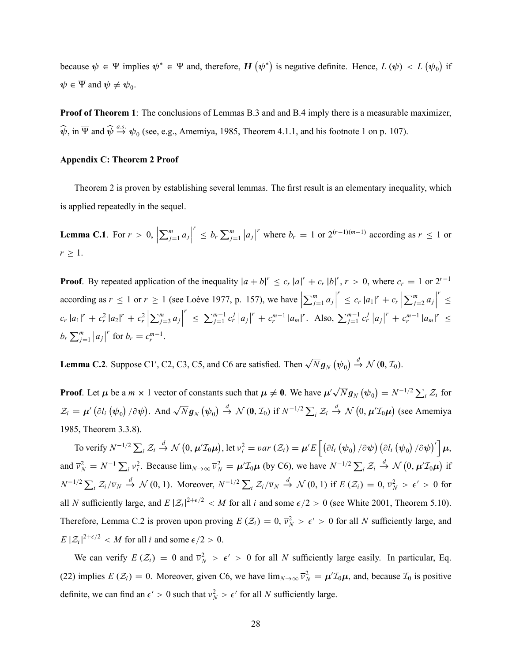because  $\psi \in \overline{\Psi}$  implies  $\psi^* \in \overline{\Psi}$  and, therefore,  $H(\psi^*)$  is negative definite. Hence,  $L(\psi) < L(\psi_0)$  if  $\psi \in \overline{\Psi}$  and  $\psi \neq \psi_0$ .

**Proof of Theorem 1**: The conclusions of Lemmas B.3 and and B.4 imply there is a measurable maximizer,  $\widehat{\psi}$ , in  $\overline{\Psi}$  and  $\widehat{\psi} \stackrel{a.s.}{\rightarrow} \psi_0$  (see, e.g., Amemiya, 1985, Theorem 4.1.1, and his footnote 1 on p. 107).

### Appendix C: Theorem 2 Proof

Theorem 2 is proven by establishing several lemmas. The first result is an elementary inequality, which is applied repeatedly in the sequel.

**Lemma C.1.** For  $r > 0$ ,  $\sum_{j=1}^m a_j$  $\sum_{j=1}^r b_r \sum_{j=1}^m$  $|a_j|^r$  where  $b_r = 1$  or  $2^{(r-1)(m-1)}$  according as  $r \le 1$  or  $r \geq 1$ .

**Proof.** By repeated application of the inequality  $|a + b|^r \leq c_r |a|^r + c_r |b|^r$ ,  $r > 0$ , where  $c_r = 1$  or  $2^{r-1}$ according as  $r \le 1$  or  $r \ge 1$  (see Loève 1977, p. 157), we have  $\sum_{j=1}^m a_j$  $r \leq c_r |a_1|^r + c_r$  $\sum_{j=2}^{m} a_j$ r  $\geq$  $c_r |a_1|^r + c_r^2 |a_2|^r + c_r^2$   $\sum_{j=3}^m a_j$ r  $\leq \sum_{j=1}^{m-1} c_r^{j} |a_j|^r + c_r^{m-1} |a_m|^r$ . Also,  $\sum_{j=1}^{m-1} c_r^{j} |a_j|^r + c_r^{m-1} |a_m|^r \leq$  $b_r\sum_{j=1}^m$  $|a_j|^r$  for  $b_r = c_r^{m-1}$ .

**Lemma C.2**. Suppose C1', C2, C3, C5, and C6 are satisfied. Then  $\sqrt{N}g_N(\psi_0) \stackrel{d}{\rightarrow} \mathcal{N}(0, \mathcal{I}_0)$ .

**Proof.** Let  $\mu$  be a  $m \times 1$  vector of constants such that  $\mu \neq 0$ . We have  $\mu' \sqrt{N} g_N(\psi_0) = N^{-1/2} \sum_i \mathcal{Z}_i$  for  $\mathcal{Z}_i = \boldsymbol{\mu}'\left(\partial l_i\left(\boldsymbol{\psi}_0\right)/\partial \boldsymbol{\psi}\right)$ . And  $\sqrt{N}\boldsymbol{g}_N\left(\boldsymbol{\psi}_0\right) \stackrel{d}{\rightarrow} \mathcal{N}\left(\boldsymbol{0},\mathcal{I}_0\right)$  if  $N^{-1/2}\sum_i \mathcal{Z}_i$ d  $\stackrel{d}{\rightarrow} \mathcal{N}(0, \mu' \mathcal{I}_0 \mu)$  (see Amemiya 1985, Theorem 3.3.8).

To verify  $N^{-1/2} \sum_i \mathcal{Z}_i$ d  $\stackrel{d}{\rightarrow} \mathcal{N}(0, \mu' \mathcal{I}_0 \mu), \text{let } v_i^2 = \text{var}(\mathcal{Z}_i) = \mu' E\left[\left(\partial l_i\left(\psi_0\right)/\partial \psi\right)\left(\partial l_i\left(\psi_0\right)/\partial \psi\right)'\right]\mu,$ and  $\overline{v}_N^2 = N^{-1} \sum_i v_i^2$ . Because  $\lim_{N \to \infty} \overline{v}_N^2 = \mu' \mathcal{I}_0 \mu$  (by C6), we have  $N^{-1/2} \sum_i \mathcal{Z}_i$ d  $\stackrel{d}{\rightarrow} \mathcal{N}(0, \mu' \mathcal{I}_0 \mu)$  if  $N^{-1/2} \sum_i \mathcal{Z}_i / \overline{\nu}_N \stackrel{d}{\rightarrow} \mathcal{N}(0, 1)$ . Moreover,  $N^{-1/2} \sum_i \mathcal{Z}_i / \overline{\nu}_N \stackrel{d}{\rightarrow} \mathcal{N}(0, 1)$  if  $E(\mathcal{Z}_i) = 0, \overline{\nu}_N^2 > \epsilon' > 0$  for all N sufficiently large, and  $E |\mathcal{Z}_i|^{2+\epsilon/2} < M$  for all i and some  $\epsilon/2 > 0$  (see White 2001, Theorem 5.10). Therefore, Lemma C.2 is proven upon proving  $E(Z_i) = 0$ ,  $\overline{v}_N^2 > \epsilon' > 0$  for all N sufficiently large, and  $E |Z_i|^{2+\epsilon/2} < M$  for all *i* and some  $\epsilon/2 > 0$ .

We can verify  $E(Z_i) = 0$  and  $\overline{v}_N^2 > \epsilon' > 0$  for all N sufficiently large easily. In particular, Eq. (22) implies  $E(Z_i) = 0$ . Moreover, given C6, we have  $\lim_{N \to \infty} \overline{v}_N^2 = \mu' \mathcal{I}_0 \mu$ , and, because  $\mathcal{I}_0$  is positive definite, we can find an  $\epsilon' > 0$  such that  $\overline{v}_N^2 > \epsilon'$  for all N sufficiently large.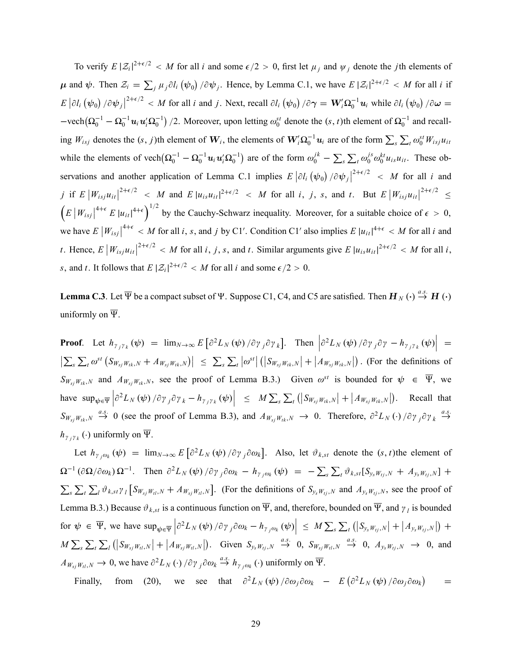To verify  $E |\mathcal{Z}_i|^{2+\epsilon/2} < M$  for all i and some  $\epsilon/2 > 0$ , first let  $\mu_j$  and  $\psi_j$  denote the jth elements of  $\mu$  and  $\psi$ . Then  $\mathcal{Z}_i = \sum_j \mu_j \partial l_i (\psi_0) / \partial \psi_j$ . Hence, by Lemma C.1, we have  $E |\mathcal{Z}_i|^{2+\epsilon/2} < M$  for all i if  $E |\partial l_i (\psi_0) / \partial \psi_j|^{2+\epsilon/2} < M$  for all i and j. Next, recall  $\partial l_i (\psi_0) / \partial \gamma = \mathbf{W}_i' \Omega_0^{-1} \mathbf{u}_i$  while  $\partial l_i (\psi_0) / \partial \omega =$  $-$ vech $(\Omega_0^{-1} - \Omega_0^{-1} u_i u_i' \Omega_0^{-1})/2$ . Moreover, upon letting  $\omega_0^{st}$  denote the  $(s, t)$ th element of  $\Omega_0^{-1}$  and recalling  $W_{isj}$  denotes the  $(s, j)$ th element of  $W_i$ , the elements of  $W_i' \Omega_0^{-1} u_i$  are of the form  $\sum_s \sum_t \omega_0^{st} W_{isj} u_{it}$ while the elements of vech $(Q_0^{-1} - Q_0^{-1} u_i u_i' Q_0^{-1})$  are of the form  $\omega_0^{jk} - \sum_s \sum_t \omega_0^{js} \omega_0^{kt} u_{is} u_{it}$ . These observations and another application of Lemma C.1 implies  $E |\partial l_i (\psi_0) / \partial \psi_j|^{2+\epsilon/2} < M$  for all i and j if  $E\left|W_{isj}u_{it}\right|^{2+\epsilon/2}$  < M and  $E\left|u_{is}u_{it}\right|^{2+\epsilon/2}$  < M for all i, j, s, and t. But  $E\left|W_{isj}u_{it}\right|^{2+\epsilon/2}$  $\geq$  $\left(E\left|W_{isj}\right|\right|^{4+\epsilon}E\left|u_{it}\right|^{4+\epsilon}\right)^{1/2}$  by the Cauchy-Schwarz inequality. Moreover, for a suitable choice of  $\epsilon > 0$ , we have  $E\left|W_{isj}\right|^{4+\epsilon} < M$  for all i, s, and j by C1'. Condition C1' also implies  $E\left|u_{it}\right|^{4+\epsilon} < M$  for all i and t. Hence,  $E |W_{isj}u_{it}|^{2+\epsilon/2} < M$  for all i, j, s, and t. Similar arguments give  $E |u_{is}u_{it}|^{2+\epsilon/2} < M$  for all i, s, and t. It follows that  $E |Z_i|^{2+\epsilon/2} < M$  for all i and some  $\epsilon/2 > 0$ .

**Lemma C.3**. Let  $\overline{\Psi}$  be a compact subset of  $\Psi$ . Suppose C1, C4, and C5 are satisfied. Then  $H_N$   $\leftrightarrow$   $\stackrel{a.s.}{\rightarrow} H$   $\leftrightarrow$ uniformly on  $\overline{\Psi}$ .

**Proof**. Let  $h_{\gamma_j\gamma_k}(\psi) = \lim_{N\to\infty} E\left[\partial^2 L_N(\psi) / \partial \gamma_j \partial \gamma_k\right]$ . Then  $\left|\partial^2 L_N(\psi) / \partial \gamma_j \partial \gamma - h_{\gamma_j\gamma_k}(\psi)\right|$  =  $\left|\sum_{s}\sum_{t} \omega^{st}\left(S_{W_{sj}W_{tk},N}+A_{W_{sj}W_{tk},N}\right)\right| \leq \sum_{s}\sum_{t} |\omega^{st}| \left(|S_{W_{sj}W_{tk},N}|+A_{W_{sj}W_{tk},N}\right|$ . (For the definitions of  $S_{W_{sj}W_{tk},N}$  and  $A_{W_{sj}W_{tk},N}$ , see the proof of Lemma B.3.) Given  $\omega^{st}$  is bounded for  $\psi \in \overline{\Psi}$ , we have  $\sup_{\psi \in \overline{\Psi}} \left| \partial^2 L_N(\psi) / \partial \gamma_j \partial \gamma_k - h_{\gamma_j \gamma_k}(\psi) \right| \leq M \sum_s \sum_t (|S_{W_{sj}W_{tk},N}| + |A_{W_{sj}W_{tk},N}|).$  Recall that  $S_{W_{sj}W_{tk},N} \stackrel{a.s.}{\rightarrow} 0$  (see the proof of Lemma B.3), and  $A_{W_{sj}W_{tk},N} \rightarrow 0$ . Therefore,  $\partial^2 L_N(\cdot) / \partial \gamma_j \partial \gamma_k \stackrel{a.s.}{\rightarrow}$  $\rightarrow$  $h_{\gamma_j\gamma_k}(\cdot)$  uniformly on  $\overline{\Psi}$ .

Let  $h_{\gamma_j\omega_k}(\psi) = \lim_{N\to\infty} E\left[\partial^2 L_N(\psi)/\partial \gamma_j \partial \omega_k\right]$ . Also, let  $\vartheta_{k,st}$  denote the  $(s, t)$ the element of  $\Omega^{-1}(\partial\Omega/\partial\omega_k)\Omega^{-1}$ . Then  $\partial^2L_N(\psi)/\partial\gamma_j\partial\omega_k - h_{\gamma_j\omega_k}(\psi) = -\sum_s\sum_t \vartheta_{k,s} [S_{y_sW_{tj},N} + A_{y_sW_{tj},N}] +$  $\sum_{s} \sum_{t} \sum_{l} \vartheta_{k, st} \gamma_{l} \left[ S_{W_{sj}W_{tl}, N} + A_{W_{sj}W_{tl}, N} \right]$ . (For the definitions of  $S_{y_sW_{tj}, N}$  and  $A_{y_sW_{tj}, N}$ , see the proof of Lemma B.3.) Because  $\vartheta_{k, st}$  is a continuous function on  $\overline{\Psi}$ , and, therefore, bounded on  $\overline{\Psi}$ , and  $\gamma_l$  is bounded for  $\psi \in \overline{\Psi}$ , we have  $\sup_{\psi \in \overline{\Psi}} \left| \partial^2 L_N(\psi) / \partial \gamma_j \partial \omega_k - h_{\gamma_j \omega_k}(\psi) \right| \leq M \sum_s \sum_t \left( \left| S_{y_s W_{tj},N} \right| + \left| A_{y_s W_{tj},N} \right| \right) +$  $M \sum_{s} \sum_{t} \sum_{l} (|S_{W_{sj}W_{tl},N}| + |A_{W_{sj}W_{tl},N}|)$ . Given  $S_{y_sW_{tj},N} \stackrel{a.s.}{\rightarrow} 0$ ,  $S_{W_{sj}W_{tl},N} \stackrel{a.s.}{\rightarrow} 0$ ,  $A_{y_sW_{tj},N} \rightarrow 0$ , and  $A_{W_{sj}W_{tl},N} \to 0$ , we have  $\partial^2 L_N(\cdot) / \partial \gamma_j \partial \omega_k \stackrel{a.s.}{\to} h_{\gamma_j \omega_k}(\cdot)$  uniformly on  $\overline{\Psi}$ .

Finally, from (20), we see that  $\partial^2 L_N(\psi) / \partial \omega_j \partial \omega_k$  –  $E(\partial^2 L_N(\psi) / \partial \omega_j \partial \omega_k)$  $=$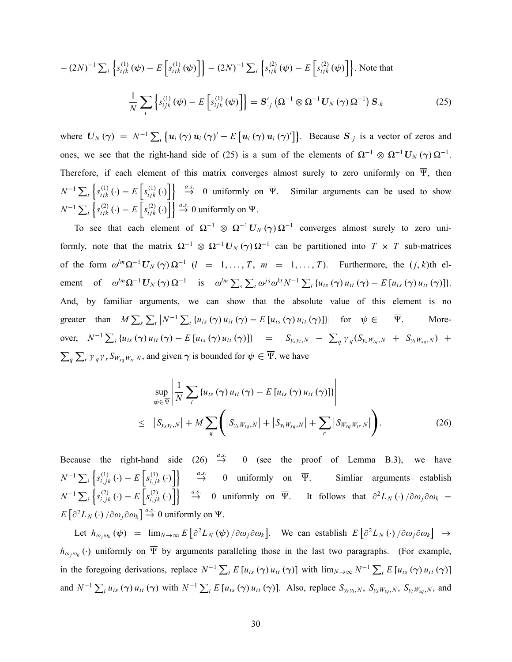$$
-(2N)^{-1} \sum_{i} \left\{ s_{ijk}^{(1)}(\psi) - E \left[ s_{ijk}^{(1)}(\psi) \right] \right\} - (2N)^{-1} \sum_{i} \left\{ s_{ijk}^{(2)}(\psi) - E \left[ s_{ijk}^{(2)}(\psi) \right] \right\}.
$$
 Note that
$$
\frac{1}{N} \sum_{i} \left\{ s_{ijk}^{(1)}(\psi) - E \left[ s_{ijk}^{(1)}(\psi) \right] \right\} = \mathbf{S}_{ij}^{\prime} \left( \mathbf{\Omega}^{-1} \otimes \mathbf{\Omega}^{-1} \mathbf{U}_{N} \left( \gamma \right) \mathbf{\Omega}^{-1} \right) \mathbf{S}_{ik}
$$
(25)

where  $U_N(\gamma) = N^{-1} \sum_i \{ u_i(\gamma) u_i(\gamma)' - E[u_i(\gamma) u_i(\gamma)'] \}$ . Because  $S_{.j}$  is a vector of zeros and ones, we see that the right-hand side of (25) is a sum of the elements of  $\Omega^{-1} \otimes \Omega^{-1} U_N(\gamma) \Omega^{-1}$ . Therefore, if each element of this matrix converges almost surely to zero uniformly on  $\overline{\Psi}$ , then  $N^{-1} \sum_i \left\{ s_{ijk}^{(1)}(\cdot) - E\left[ s_{ijk}^{(1)}(\cdot) \right] \right\} \stackrel{a.s.}{\rightarrow} 0$  uniformly on  $\overline{\Psi}$ . Similar arguments can be used to show  $N^{-1} \sum_i \left\{ s_{ijk}^{(2)} \left( \cdot \right) - E \left[ s_{ijk}^{(2)} \left( \cdot \right) \right] \right\} \stackrel{a.s.}{\rightarrow} 0$  uniformly on  $\overline{\Psi}$ .

To see that each element of  $\Omega^{-1} \otimes \Omega^{-1} U_N(\gamma) \Omega^{-1}$  converges almost surely to zero uniformly, note that the matrix  $\Omega^{-1} \otimes \Omega^{-1} U_N(\gamma) \Omega^{-1}$  can be partitioned into  $T \times T$  sub-matrices of the form  $\omega^{lm}\Omega^{-1}\mathbf{U}_N(\gamma)\Omega^{-1}$   $(l = 1, ..., T, m = 1, ..., T)$ . Furthermore, the  $(j, k)$ th element of  $\omega^{lm}\Omega^{-1}\mathbf{U}_N(\gamma)\Omega^{-1}$  is  $\omega^{lm}\sum_{s}\sum_{t}\omega^{js}\omega^{kt}N^{-1}\sum_{i}\left\{u_{is}(\gamma)u_{it}(\gamma)-E\left[u_{is}(\gamma)u_{it}(\gamma)\right]\right\}$ . And, by familiar arguments, we can show that the absolute value of this element is no greater than  $M \sum_{s} \sum_{t} |N^{-1} \sum_{i} \{u_{is}(\gamma) u_{it}(\gamma) - E[u_{is}(\gamma) u_{it}(\gamma)]\}|$  for  $\psi \in \overline{\Psi}$ . Moreover,  $N^{-1} \sum_i \{u_{is}(\gamma) u_{it}(\gamma) - E[u_{is}(\gamma) u_{it}(\gamma)]\}$  =  $S_{y_s y_t, N} - \sum_q \gamma_q (S_{y_s w_{tq}, N} + S_{y_t w_{sq}, N}) +$  $\sum_{q} \sum_{r} \gamma_q \gamma_r S_{W_{sq}W_{tr}N}$ , and given  $\gamma$  is bounded for  $\psi \in \overline{\Psi}$ , we have

$$
\sup_{\psi \in \overline{\Psi}} \left| \frac{1}{N} \sum_{i} \left\{ u_{is} \left( \gamma \right) u_{it} \left( \gamma \right) - E \left[ u_{is} \left( \gamma \right) u_{it} \left( \gamma \right) \right] \right\} \right|
$$
\n
$$
\leq \left| S_{y_s y_t, N} \right| + M \sum_{q} \left( \left| S_{y_s w_{tq}, N} \right| + \left| S_{y_t w_{sq}, N} \right| + \sum_{r} \left| S_{w_{sq} w_{tr}, N} \right| \right). \tag{26}
$$

Because the right-hand side (26)  $\stackrel{a.s.}{\rightarrow}$  0 (see the proof of Lemma B.3), we have  $N^{-1} \sum_i \left\{ s_{i,jk}^{(1)} \left( \cdot \right) - E \left[ s_{i,jk}^{(1)} \left( \cdot \right) \right] \right\} \quad \stackrel{a.s.}{\rightarrow} \quad 0 \quad \text{uniformly on} \quad \overline{\Psi}.$  Simliar arguments establish  $N^{-1} \sum_i \left\{ s_{i,jk}^{(2)}(\cdot) - E\left[ s_{i,jk}^{(2)}(\cdot) \right] \right\} \stackrel{a.s.}{\rightarrow} 0$  uniformly on  $\overline{\Psi}$ . It follows that  $\partial^2 L_N(\cdot) / \partial \omega_j \partial \omega_k$  –  $E\left[\partial^2 L_N\left(\cdot\right)/\partial \omega_j \partial \omega_k\right] \stackrel{a.s.}{\rightarrow} 0$  uniformly on  $\overline{\Psi}$ .

Let  $h_{\omega_j\omega_k}(\psi) = \lim_{N\to\infty} E\left[\partial^2 L_N(\psi)/\partial \omega_j \partial \omega_k\right]$ . We can establish  $E\left[\partial^2 L_N(\cdot)/\partial \omega_j \partial \omega_k\right] \to$  $h_{\omega_j\omega_k}(\cdot)$  uniformly on  $\overline{\Psi}$  by arguments paralleling those in the last two paragraphs. (For example, in the foregoing derivations, replace  $N^{-1} \sum_i E[u_{is}(\gamma) u_{it}(\gamma)]$  with  $\lim_{N \to \infty} N^{-1} \sum_i E[u_{is}(\gamma) u_{it}(\gamma)]$ and  $N^{-1} \sum_i u_{is} (\gamma) u_{it} (\gamma)$  with  $N^{-1} \sum_i E[u_{is} (\gamma) u_{it} (\gamma)]$ . Also, replace  $S_{y_s y_t, N}$ ,  $S_{y_s w_{tq}, N}$ ,  $S_{y_t w_{sq}, N}$ , and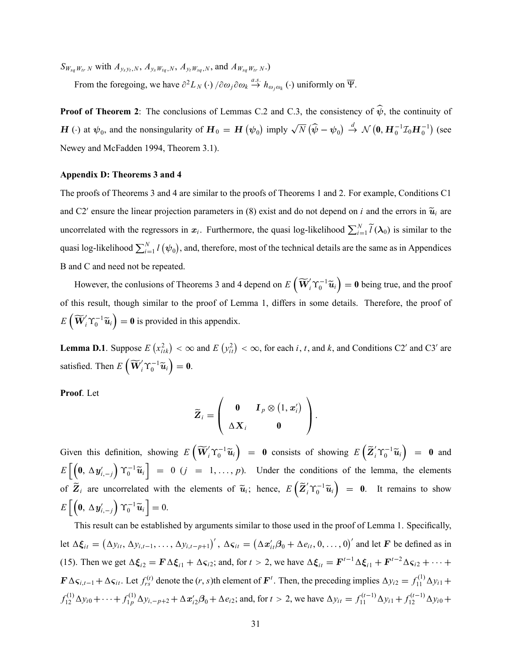$S_{W_{sq}W_{tr} N}$  with  $A_{y_s y_t, N}$ ,  $A_{y_s W_{tq}, N}$ ,  $A_{y_t W_{sq}, N}$ , and  $A_{W_{sq}W_{tr} N}$ .)

From the foregoing, we have  $\partial^2 L_N(\cdot) / \partial \omega_j \partial \omega_k \stackrel{a.s.}{\rightarrow} h_{\omega_j \omega_k}(\cdot)$  uniformly on  $\overline{\Psi}$ .

**Proof of Theorem 2:** The conclusions of Lemmas C.2 and C.3, the consistency of  $\hat{\psi}$ , the continuity of  $H(\cdot)$  at  $\psi_0$ , and the nonsingularity of  $H_0 = H(\psi_0)$  imply  $\sqrt{N} (\hat{\psi} - \psi_0) \stackrel{d}{\rightarrow} \mathcal{N}(\mathbf{0}, H_0^{-1} \mathcal{I}_0 H_0^{-1})$  (see Newey and McFadden 1994, Theorem 3.1).

## Appendix D: Theorems 3 and 4

The proofs of Theorems 3 and 4 are similar to the proofs of Theorems 1 and 2. For example, Conditions C1 and C2' ensure the linear projection parameters in (8) exist and do not depend on *i* and the errors in  $\tilde{u}_i$  are uncorrelated with the regressors in  $x_i$ . Furthermore, the quasi log-likelihood  $\sum_{i=1}^{N} \tilde{l}(\lambda_0)$  is similar to the quasi log-likelihood  $\sum_{i=1}^{N} l(\psi_0)$ , and, therefore, most of the technical details are the same as in Appendices B and C and need not be repeated.

However, the conlusions of Theorems 3 and 4 depend on  $E\left(\widetilde{\mathbf{W}}_i^{\prime} \Upsilon_0^{-1} \widetilde{\mathbf{u}}_i\right) = \mathbf{0}$  being true, and the proof of this result, though similar to the proof of Lemma 1, differs in some details. Therefore, the proof of  $E\left(\widetilde{\mathbf{W}}_{i}^{\prime} \Upsilon_{0}^{-1} \widetilde{\mathbf{u}}_{i}\right) = \mathbf{0}$  is provided in this appendix.

**Lemma D.1**. Suppose  $E(r_{itk}^2) < \infty$  and  $E(r_{it}^2) < \infty$ , for each *i*, *t*, and *k*, and Conditions C2' and C3' are satisfied. Then  $E\left(\widetilde{\mathbf{W}}_i^{\prime} \boldsymbol{\Upsilon}_0^{-1} \widetilde{\mathbf{u}}_i\right) = \mathbf{0}$ .

Proof. Let

$$
\widetilde{\boldsymbol{Z}}_i = \left(\begin{array}{cc} \boldsymbol{0} & \boldsymbol{I}_p \otimes (1, \boldsymbol{x}'_i) \\ \Delta \boldsymbol{X}_i & \boldsymbol{0} \end{array}\right).
$$

Given this definition, showing  $E\left(\widetilde{\boldsymbol{W}}_i^{\prime} \boldsymbol{\Upsilon}_0^{-1} \widetilde{\boldsymbol{u}}_i\right) = \boldsymbol{0}$  consists of showing  $E\left(\widetilde{\boldsymbol{Z}}_i^{\prime} \boldsymbol{\Upsilon}_0^{-1} \widetilde{\boldsymbol{u}}_i\right) = \boldsymbol{0}$  and  $E\left[\left(\bm{0},\ \Delta\bm{y}_{i,-j}'\right) \right]$  $\left[\gamma_0^{-1}\tilde{u}_i\right] = 0$   $(j = 1, ..., p)$ . Under the conditions of the lemma, the elements of  $\widetilde{\mathbf{Z}}_i$  are uncorrelated with the elements of  $\widetilde{\mathbf{u}}_i$ ; hence,  $E\left(\widetilde{\mathbf{Z}}_i^{\prime} \Upsilon_0^{-1} \widetilde{\mathbf{u}}_i\right) = \mathbf{0}$ . It remains to show  $E\left[\left(\bm{0},\ \Delta\bm{y}_{i,-j}'\right) \right]$  $\left[\right. \Upsilon _{0}^{-1}\widetilde{\bm{u}}_{i}\left. \right] =0.$ 

This result can be established by arguments similar to those used in the proof of Lemma 1. Specifically, let  $\Delta \xi_{it} = (\Delta y_{it}, \Delta y_{i,t-1}, \dots, \Delta y_{i,t-p+1})'$ ,  $\Delta \varsigma_{it} = (\Delta x_{it}' \beta_0 + \Delta e_{it}, 0, \dots, 0)'$  and let F be defined as in (15). Then we get  $\Delta \xi_{i2} = \mathbf{F} \Delta \xi_{i1} + \Delta \varsigma_{i2}$ ; and, for  $t > 2$ , we have  $\Delta \xi_{it} = \mathbf{F}^{t-1} \Delta \xi_{i1} + \mathbf{F}^{t-2} \Delta \varsigma_{i2} + \cdots$  $\mathbf{F} \Delta \mathbf{s}_{i,t-1} + \Delta \mathbf{s}_{it}$ . Let  $f_{rs}^{(t)}$  denote the  $(r, s)$ th element of  $\mathbf{F}^t$ . Then, the preceding implies  $\Delta y_{i2} = f_{11}^{(1)} \Delta y_{i1} +$  $f_{12}^{(1)} \Delta y_{i0} + \cdots + f_{1p}^{(1)} \Delta y_{i,-p+2} + \Delta x_{i2}' \beta_0 + \Delta e_{i2}$ ; and, for  $t > 2$ , we have  $\Delta y_{it} = f_{11}^{(t-1)} \Delta y_{i1} + f_{12}^{(t-1)} \Delta y_{i0} +$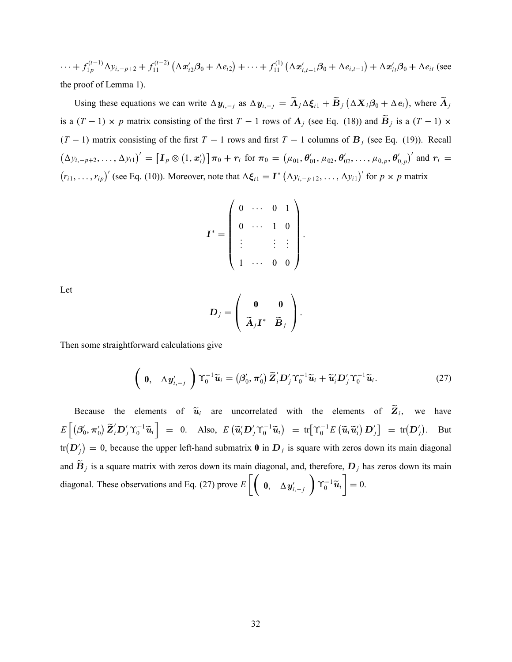$\cdots + f_{1p}^{(t-1)} \Delta y_{i,-p+2} + f_{11}^{(t-2)} (\Delta x_{i2}' \beta_0 + \Delta e_{i2}) + \cdots + f_{11}^{(1)} (\Delta x_{i,t-1}' \beta_0 + \Delta e_{i,t-1}) + \Delta x_{it}' \beta_0 + \Delta e_{it}$  (see the proof of Lemma 1).

Using these equations we can write  $\Delta y_{i,-j}$  as  $\Delta y_{i,-j} = \widetilde{A}_j \Delta \xi_{i1} + \widetilde{B}_j (\Delta X_i \beta_0 + \Delta e_i)$ , where  $\widetilde{A}_j$ is a  $(T - 1) \times p$  matrix consisting of the first  $T - 1$  rows of  $A_j$  (see Eq. (18)) and  $B_j$  is a  $(T - 1) \times p$  $(T - 1)$  matrix consisting of the first  $T - 1$  rows and first  $T - 1$  columns of  $B_j$  (see Eq. (19)). Recall  $(\Delta y_{i,-p+2},\ldots,\Delta y_{i})' = [\mathbf{I}_p \otimes (1,\mathbf{x}'_i)] \pi_0 + \mathbf{r}_i \text{ for } \pi_0 = (\mu_{01},\theta'_{01},\mu_{02},\theta'_{02},\ldots,\mu_{0,p},\theta'_{0,p})' \text{ and } \mathbf{r}_i =$  $(r_{i1},...,r_{ip})'$  (see Eq. (10)). Moreover, note that  $\Delta \boldsymbol{\xi}_{i1} = \boldsymbol{I}^* (\Delta y_{i,-p+2},..., \Delta y_{i1})'$  for  $p \times p$  matrix

$$
\mathbf{I}^* = \left( \begin{array}{cccc} 0 & \cdots & 0 & 1 \\ 0 & \cdots & 1 & 0 \\ \vdots & & \vdots & \vdots \\ 1 & \cdots & 0 & 0 \end{array} \right).
$$

Let

$$
\boldsymbol{D}_j = \left(\begin{array}{cc} \boldsymbol{0} & \boldsymbol{0} \\ \widetilde{\boldsymbol{\mathrm{A}}}_j \boldsymbol{I}^* & \widetilde{\boldsymbol{\mathrm{B}}}_j \end{array}\right).
$$

Then some straightforward calculations give

$$
\left(\begin{array}{cc} \mathbf{0}, & \Delta\mathbf{y}'_{i,-j} \end{array}\right)\Upsilon_0^{-1}\widetilde{\mathbf{u}}_i=\left(\beta'_0,\pi'_0\right)\widetilde{\mathbf{Z}}_i'\mathbf{D}_j'\Upsilon_0^{-1}\widetilde{\mathbf{u}}_i+\widetilde{\mathbf{u}}_i'\mathbf{D}_j'\Upsilon_0^{-1}\widetilde{\mathbf{u}}_i. \tag{27}
$$

Because the elements of  $\tilde{u}_i$  are uncorrelated with the elements of  $Z_i$ , we have  $E\left[\left(\beta_0', \pi_0'\right)\widetilde{\mathbf{Z}}_i'\mathbf{D}_j'\Upsilon_0^{-1}\widetilde{\mathbf{u}}_i\right] = 0$ . Also,  $E\left(\widetilde{\mathbf{u}}_i'\mathbf{D}_j'\Upsilon_0^{-1}\widetilde{\mathbf{u}}_i\right) = \text{tr}\left[\Upsilon_0^{-1}E\left(\widetilde{\mathbf{u}}_i\widetilde{\mathbf{u}}_i'\right)\mathbf{D}_j'\right] = \text{tr}(\mathbf{D}_j')$ . But  $tr(D'_j) = 0$ , because the upper left-hand submatrix  $\bf{0}$  in  $D_j$  is square with zeros down its main diagonal and  $B_j$  is a square matrix with zeros down its main diagonal, and, therefore,  $D_j$  has zeros down its main diagonal. These observations and Eq. (27) prove  $E\left[\begin{pmatrix} 0, & \Delta y'_{i,-j} \end{pmatrix}\right]$  $\overline{\phantom{0}}$  $\Upsilon_0^{-1}\widetilde{\boldsymbol{u}}_i$ ı  $= 0.$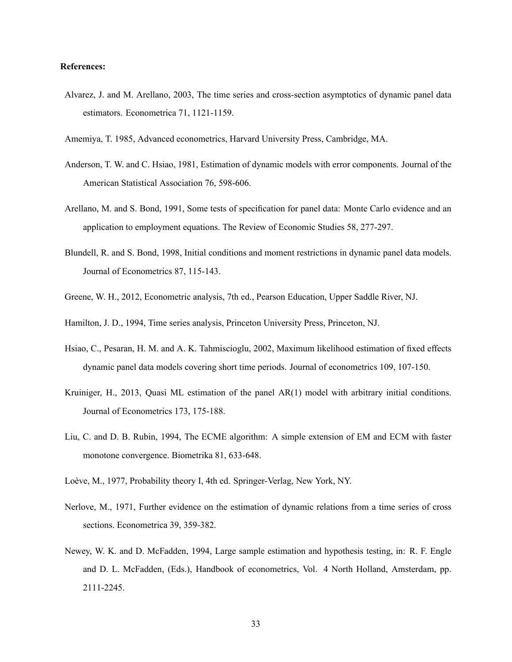## References:

- Alvarez, J. and M. Arellano, 2003, The time series and cross-section asymptotics of dynamic panel data estimators. Econometrica 71, 1121-1159.
- Amemiya, T. 1985, Advanced econometrics, Harvard University Press, Cambridge, MA.
- Anderson, T. W. and C. Hsiao, 1981, Estimation of dynamic models with error components. Journal of the American Statistical Association 76, 598-606.
- Arellano, M. and S. Bond, 1991, Some tests of specification for panel data: Monte Carlo evidence and an application to employment equations. The Review of Economic Studies 58, 277-297.
- Blundell, R. and S. Bond, 1998, Initial conditions and moment restrictions in dynamic panel data models. Journal of Econometrics 87, 115-143.
- Greene, W. H., 2012, Econometric analysis, 7th ed., Pearson Education, Upper Saddle River, NJ.
- Hamilton, J. D., 1994, Time series analysis, Princeton University Press, Princeton, NJ.
- Hsiao, C., Pesaran, H. M. and A. K. Tahmiscioglu, 2002, Maximum likelihood estimation of fixed effects dynamic panel data models covering short time periods. Journal of econometrics 109, 107-150.
- Kruiniger, H., 2013, Quasi ML estimation of the panel AR(1) model with arbitrary initial conditions. Journal of Econometrics 173, 175-188.
- Liu, C. and D. B. Rubin, 1994, The ECME algorithm: A simple extension of EM and ECM with faster monotone convergence. Biometrika 81, 633-648.
- Loève, M., 1977, Probability theory I, 4th ed. Springer-Verlag, New York, NY.
- Nerlove, M., 1971, Further evidence on the estimation of dynamic relations from a time series of cross sections. Econometrica 39, 359-382.
- Newey, W. K. and D. McFadden, 1994, Large sample estimation and hypothesis testing, in: R. F. Engle and D. L. McFadden, (Eds.), Handbook of econometrics, Vol. 4 North Holland, Amsterdam, pp. 2111-2245.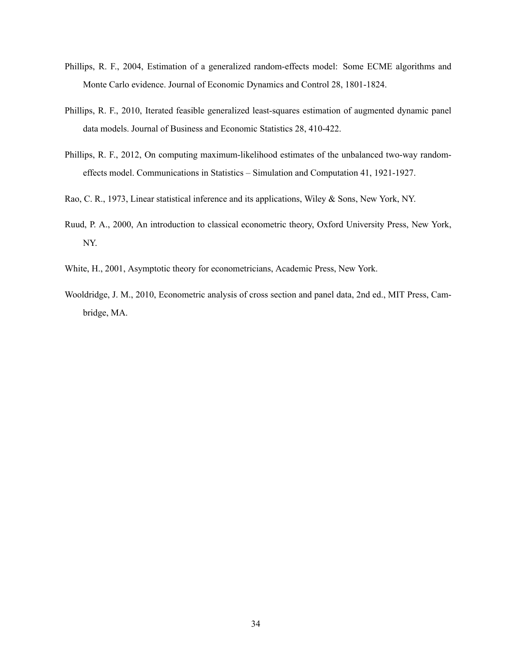- Phillips, R. F., 2004, Estimation of a generalized random-effects model: Some ECME algorithms and Monte Carlo evidence. Journal of Economic Dynamics and Control 28, 1801-1824.
- Phillips, R. F., 2010, Iterated feasible generalized least-squares estimation of augmented dynamic panel data models. Journal of Business and Economic Statistics 28, 410-422.
- Phillips, R. F., 2012, On computing maximum-likelihood estimates of the unbalanced two-way randomeffects model. Communications in Statistics – Simulation and Computation 41, 1921-1927.
- Rao, C. R., 1973, Linear statistical inference and its applications, Wiley & Sons, New York, NY.
- Ruud, P. A., 2000, An introduction to classical econometric theory, Oxford University Press, New York, NY.
- White, H., 2001, Asymptotic theory for econometricians, Academic Press, New York.
- Wooldridge, J. M., 2010, Econometric analysis of cross section and panel data, 2nd ed., MIT Press, Cambridge, MA.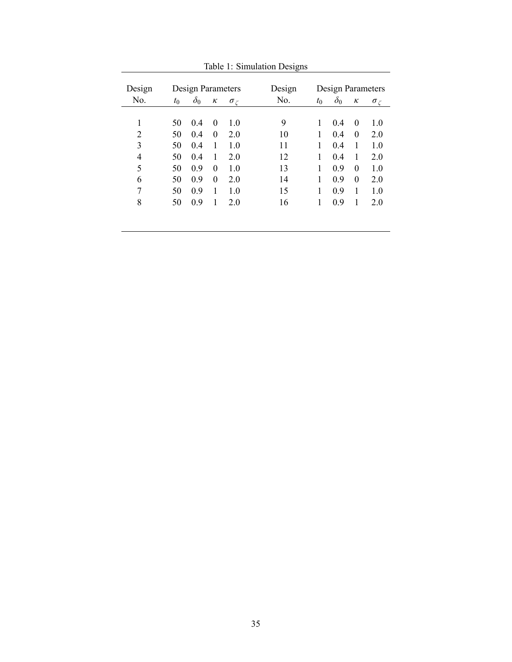| Design | Design Parameters |                |          |                  | Design | Design Parameters |            |          |                  |
|--------|-------------------|----------------|----------|------------------|--------|-------------------|------------|----------|------------------|
| No.    | $t_{0}$           | $\delta_0$     | к        | $\sigma_{\zeta}$ | No.    | $t_0$             | $\delta_0$ | $\kappa$ | $\sigma_{\zeta}$ |
|        |                   |                |          |                  |        |                   |            |          |                  |
| 1      | 50                | 0.4            | $\Omega$ | 1.0              | 9      | 1                 | 0.4        | $\theta$ | 1.0              |
| 2      | 50                | 0 <sub>4</sub> | $\theta$ | 2.0              | 10     | 1                 | 0.4        | $\theta$ | 2.0              |
| 3      | 50                | 0.4            | 1        | 1.0              | 11     | 1                 | 0.4        | 1        | 1.0              |
| 4      | 50                | 0.4            | 1        | 2.0              | 12     | 1                 | 04         | 1        | 2.0              |
| 5      | 50                | 0.9            | $\theta$ | 1.0              | 13     |                   | 0.9        | $\theta$ | 1.0              |
| 6      | 50                | 0.9            | $\theta$ | 2.0              | 14     |                   | 0.9        | $\theta$ | 2.0              |
| 7      | 50                | 0.9            | 1        | 1.0              | 15     |                   | 0.9        | 1        | 1.0              |
| 8      | 50                | 0.9            | 1        | 2.0              | 16     |                   | 0.9        | 1        | 2.0              |
|        |                   |                |          |                  |        |                   |            |          |                  |
|        |                   |                |          |                  |        |                   |            |          |                  |

Table 1: Simulation Designs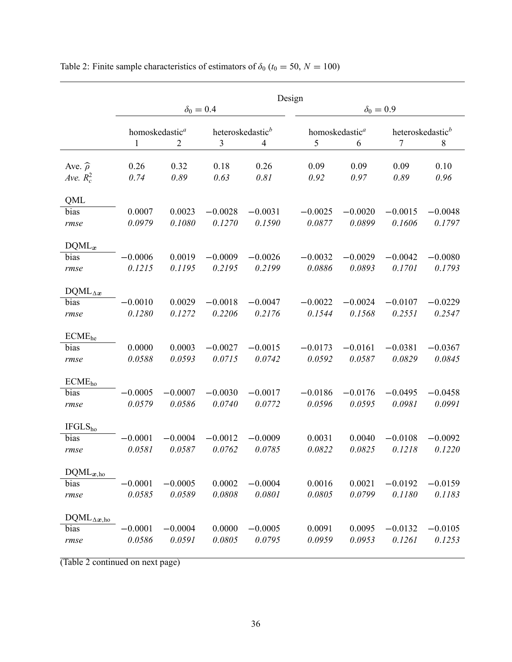|                       | Design                     |           |                              |           |                            |           |                              |           |  |  |
|-----------------------|----------------------------|-----------|------------------------------|-----------|----------------------------|-----------|------------------------------|-----------|--|--|
|                       |                            |           | $\delta_0 = 0.4$             |           | $\delta_0 = 0.9$           |           |                              |           |  |  |
|                       | homoskedastic <sup>a</sup> |           | heteroskedastic <sup>b</sup> |           | homoskedastic <sup>a</sup> |           | heteroskedastic <sup>b</sup> |           |  |  |
|                       | 1                          | 2         | 3                            | 4         | 5                          | 6         | 7                            | 8         |  |  |
| Ave. $\hat{\rho}$     | 0.26                       | 0.32      | 0.18                         | 0.26      | 0.09                       | 0.09      | 0.09                         | 0.10      |  |  |
| Ave. $R_c^2$          | 0.74                       | 0.89      | 0.63                         | 0.81      | 0.92                       | 0.97      | 0.89                         | 0.96      |  |  |
| QML                   |                            |           |                              |           |                            |           |                              |           |  |  |
| bias                  | 0.0007                     | 0.0023    | $-0.0028$                    | $-0.0031$ | $-0.0025$                  | $-0.0020$ | $-0.0015$                    | $-0.0048$ |  |  |
| rmse                  | 0.0979                     | 0.1080    | 0.1270                       | 0.1590    | 0.0877                     | 0.0899    | 0.1606                       | 0.1797    |  |  |
| $DQML_x$              |                            |           |                              |           |                            |           |                              |           |  |  |
| bias                  | $-0.0006$                  | 0.0019    | $-0.0009$                    | $-0.0026$ | $-0.0032$                  | $-0.0029$ | $-0.0042$                    | $-0.0080$ |  |  |
| rmse                  | 0.1215                     | 0.1195    | 0.2195                       | 0.2199    | 0.0886                     | 0.0893    | 0.1701                       | 0.1793    |  |  |
| $DQML_{\Delta x}$     |                            |           |                              |           |                            |           |                              |           |  |  |
| bias                  | $-0.0010$                  | 0.0029    | $-0.0018$                    | $-0.0047$ | $-0.0022$                  | $-0.0024$ | $-0.0107$                    | $-0.0229$ |  |  |
| rmse                  | 0.1280                     | 0.1272    | 0.2206                       | 0.2176    | 0.1544                     | 0.1568    | 0.2551                       | 0.2547    |  |  |
| ECME <sub>he</sub>    |                            |           |                              |           |                            |           |                              |           |  |  |
| bias                  | 0.0000                     | 0.0003    | $-0.0027$                    | $-0.0015$ | $-0.0173$                  | $-0.0161$ | $-0.0381$                    | $-0.0367$ |  |  |
| rmse                  | 0.0588                     | 0.0593    | 0.0715                       | 0.0742    | 0.0592                     | 0.0587    | 0.0829                       | 0.0845    |  |  |
| ECME <sub>ho</sub>    |                            |           |                              |           |                            |           |                              |           |  |  |
| bias                  | $-0.0005$                  | $-0.0007$ | $-0.0030$                    | $-0.0017$ | $-0.0186$                  | $-0.0176$ | $-0.0495$                    | $-0.0458$ |  |  |
| rmse                  | 0.0579                     | 0.0586    | 0.0740                       | 0.0772    | 0.0596                     | 0.0595    | 0.0981                       | 0.0991    |  |  |
| IFGLS <sub>ho</sub>   |                            |           |                              |           |                            |           |                              |           |  |  |
| bias                  | $-0.0001$                  | $-0.0004$ | $-0.0012$                    | $-0.0009$ | 0.0031                     | 0.0040    | $-0.0108$                    | $-0.0092$ |  |  |
| rmse                  | 0.0581                     | 0.0587    | 0.0762                       | 0.0785    | 0.0822                     | 0.0825    | 0.1218                       | 0.1220    |  |  |
| $DQML_{x,ho}$         |                            |           |                              |           |                            |           |                              |           |  |  |
| bias                  | $-0.0001$                  | $-0.0005$ | 0.0002                       | $-0.0004$ | 0.0016                     | 0.0021    | $-0.0192$                    | $-0.0159$ |  |  |
| rmse                  | 0.0585                     | 0.0589    | 0.0808                       | 0.0801    | 0.0805                     | 0.0799    | 0.1180                       | 0.1183    |  |  |
| $DQML_{\Delta x, ho}$ |                            |           |                              |           |                            |           |                              |           |  |  |
| bias                  | $-0.0001$                  | $-0.0004$ | 0.0000                       | $-0.0005$ | 0.0091                     | 0.0095    | $-0.0132$                    | $-0.0105$ |  |  |
| rmse                  | 0.0586                     | 0.0591    | 0.0805                       | 0.0795    | 0.0959                     | 0.0953    | 0.1261                       | 0.1253    |  |  |
|                       |                            |           |                              |           |                            |           |                              |           |  |  |

Table 2: Finite sample characteristics of estimators of  $\delta_0$  ( $t_0 = 50, N = 100$ )

(Table 2 continued on next page)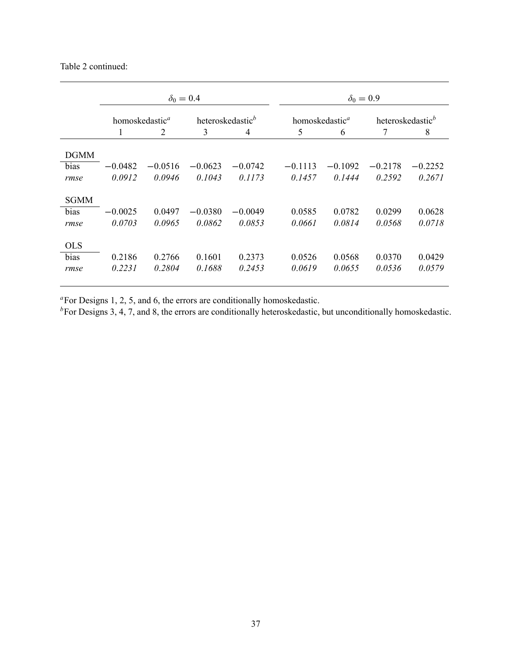## Table 2 continued:

|                     | $\delta_0 = 0.4$           |           |                              |           | $\delta_0 = 0.9$           |           |                              |           |  |
|---------------------|----------------------------|-----------|------------------------------|-----------|----------------------------|-----------|------------------------------|-----------|--|
|                     | homoskedastic <sup>a</sup> |           | heteroskedastic <sup>b</sup> |           | homoskedastic <sup>a</sup> |           | heteroskedastic <sup>b</sup> |           |  |
|                     | 1                          | 2         | 3                            | 4         | 5                          | 6         | 7                            | 8         |  |
| <b>DGMM</b>         |                            |           |                              |           |                            |           |                              |           |  |
| bias                | $-0.0482$                  | $-0.0516$ | $-0.0623$                    | $-0.0742$ | $-0.1113$                  | $-0.1092$ | $-0.2178$                    | $-0.2252$ |  |
| rmse                | 0.0912                     | 0.0946    | 0.1043                       | 0.1173    | 0.1457                     | 0.1444    | 0.2592                       | 0.2671    |  |
| <b>SGMM</b><br>bias | $-0.0025$                  | 0.0497    | $-0.0380$                    | $-0.0049$ | 0.0585                     | 0.0782    | 0.0299                       | 0.0628    |  |
| rmse                | 0.0703                     | 0.0965    | 0.0862                       | 0.0853    | 0.0661                     | 0.0814    | 0.0568                       | 0.0718    |  |
| <b>OLS</b>          |                            |           |                              |           |                            |           |                              |           |  |
| bias                | 0.2186                     | 0.2766    | 0.1601                       | 0.2373    | 0.0526                     | 0.0568    | 0.0370                       | 0.0429    |  |
| rmse                | 0.2231                     | 0.2804    | 0.1688                       | 0.2453    | 0.0619                     | 0.0655    | 0.0536                       | 0.0579    |  |

 ${}^{\alpha}$ For Designs 1, 2, 5, and 6, the errors are conditionally homoskedastic.

 $b_F$ For Designs 3, 4, 7, and 8, the errors are conditionally heteroskedastic, but unconditionally homoskedastic.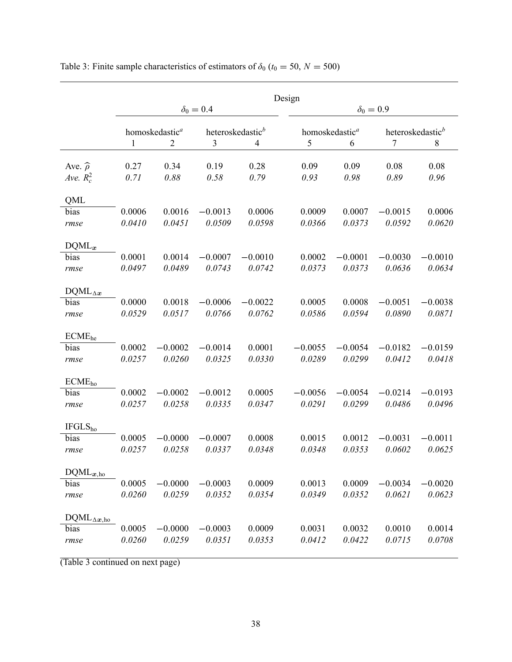|                       | Design                     |           |                              |                |                            |           |                              |           |  |
|-----------------------|----------------------------|-----------|------------------------------|----------------|----------------------------|-----------|------------------------------|-----------|--|
|                       |                            |           | $\delta_0=0.4$               |                | $\delta_0 = 0.9$           |           |                              |           |  |
|                       | homoskedastic <sup>a</sup> |           | heteroskedastic <sup>b</sup> |                | homoskedastic <sup>a</sup> |           | heteroskedastic <sup>b</sup> |           |  |
|                       | 1                          | 2         | 3                            | $\overline{4}$ | 5                          | 6         | 7                            | 8         |  |
| Ave. $\widehat{\rho}$ | 0.27                       | 0.34      | 0.19                         | 0.28           | 0.09                       | 0.09      | 0.08                         | 0.08      |  |
| Ave. $R_c^2$          | 0.71                       | 0.88      | 0.58                         | 0.79           | 0.93                       | 0.98      | 0.89                         | 0.96      |  |
| QML                   |                            |           |                              |                |                            |           |                              |           |  |
| bias                  | 0.0006                     | 0.0016    | $-0.0013$                    | 0.0006         | 0.0009                     | 0.0007    | $-0.0015$                    | 0.0006    |  |
| rmse                  | 0.0410                     | 0.0451    | 0.0509                       | 0.0598         | 0.0366                     | 0.0373    | 0.0592                       | 0.0620    |  |
| $DQML_x$              |                            |           |                              |                |                            |           |                              |           |  |
| bias                  | 0.0001                     | 0.0014    | $-0.0007$                    | $-0.0010$      | 0.0002                     | $-0.0001$ | $-0.0030$                    | $-0.0010$ |  |
| rmse                  | 0.0497                     | 0.0489    | 0.0743                       | 0.0742         | 0.0373                     | 0.0373    | 0.0636                       | 0.0634    |  |
| $DQML_{\Delta x}$     |                            |           |                              |                |                            |           |                              |           |  |
| bias                  | 0.0000                     | 0.0018    | $-0.0006$                    | $-0.0022$      | 0.0005                     | 0.0008    | $-0.0051$                    | $-0.0038$ |  |
| rmse                  | 0.0529                     | 0.0517    | 0.0766                       | 0.0762         | 0.0586                     | 0.0594    | 0.0890                       | 0.0871    |  |
| ECME <sub>he</sub>    |                            |           |                              |                |                            |           |                              |           |  |
| bias                  | 0.0002                     | $-0.0002$ | $-0.0014$                    | 0.0001         | $-0.0055$                  | $-0.0054$ | $-0.0182$                    | $-0.0159$ |  |
| rmse                  | 0.0257                     | 0.0260    | 0.0325                       | 0.0330         | 0.0289                     | 0.0299    | 0.0412                       | 0.0418    |  |
| ECME <sub>ho</sub>    |                            |           |                              |                |                            |           |                              |           |  |
| bias                  | 0.0002                     | $-0.0002$ | $-0.0012$                    | 0.0005         | $-0.0056$                  | $-0.0054$ | $-0.0214$                    | $-0.0193$ |  |
| rmse                  | 0.0257                     | 0.0258    | 0.0335                       | 0.0347         | 0.0291                     | 0.0299    | 0.0486                       | 0.0496    |  |
| IFGLS <sub>ho</sub>   |                            |           |                              |                |                            |           |                              |           |  |
| bias                  | 0.0005                     | $-0.0000$ | $-0.0007$                    | 0.0008         | 0.0015                     | 0.0012    | $-0.0031$                    | $-0.0011$ |  |
| rmse                  | 0.0257                     | 0.0258    | 0.0337                       | 0.0348         | 0.0348                     | 0.0353    | 0.0602                       | 0.0625    |  |
| $DQML_{x,ho}$         |                            |           |                              |                |                            |           |                              |           |  |
| bias                  | 0.0005                     | $-0.0000$ | $-0.0003$                    | 0.0009         | 0.0013                     | 0.0009    | $-0.0034$                    | $-0.0020$ |  |
| rmse                  | 0.0260                     | 0.0259    | 0.0352                       | 0.0354         | 0.0349                     | 0.0352    | 0.0621                       | 0.0623    |  |
|                       |                            |           |                              |                |                            |           |                              |           |  |
| $DQML_{\Delta x, ho}$ |                            |           |                              |                |                            |           |                              |           |  |
| bias                  | 0.0005                     | $-0.0000$ | $-0.0003$                    | 0.0009         | 0.0031                     | 0.0032    | 0.0010                       | 0.0014    |  |
| rmse                  | 0.0260                     | 0.0259    | 0.0351                       | 0.0353         | 0.0412                     | 0.0422    | 0.0715                       | 0.0708    |  |
|                       |                            |           |                              |                |                            |           |                              |           |  |

Table 3: Finite sample characteristics of estimators of  $\delta_0$  ( $t_0 = 50, N = 500$ )

(Table 3 continued on next page)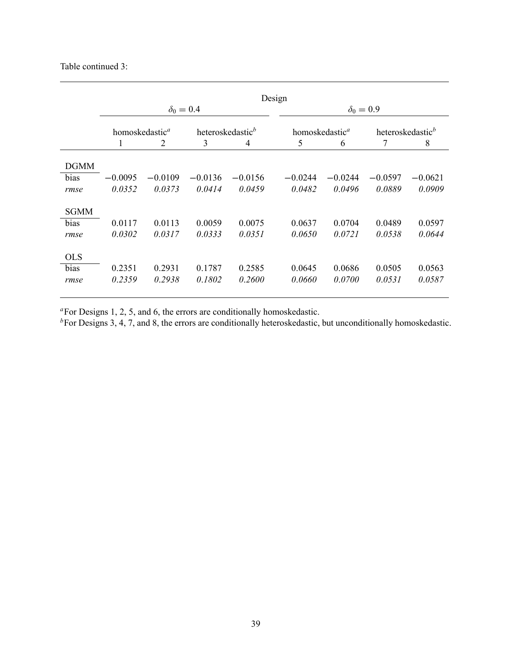## Table continued 3:

|             | Design                     |           |                              |           |                            |                  |                              |           |  |
|-------------|----------------------------|-----------|------------------------------|-----------|----------------------------|------------------|------------------------------|-----------|--|
|             |                            |           | $\delta_0 = 0.4$             |           |                            | $\delta_0 = 0.9$ |                              |           |  |
|             | homoskedastic <sup>a</sup> |           | heteroskedastic <sup>b</sup> |           | homoskedastic <sup>a</sup> |                  | heteroskedastic <sup>b</sup> |           |  |
|             | 1                          | 2         | 3                            | 4         | 5                          | 6                | 7                            | 8         |  |
| <b>DGMM</b> |                            |           |                              |           |                            |                  |                              |           |  |
| bias        | $-0.0095$                  | $-0.0109$ | $-0.0136$                    | $-0.0156$ | $-0.0244$                  | $-0.0244$        | $-0.0597$                    | $-0.0621$ |  |
| rmse        | 0.0352                     | 0.0373    | 0.0414                       | 0.0459    | 0.0482                     | 0.0496           | 0.0889                       | 0.0909    |  |
| <b>SGMM</b> |                            |           |                              |           |                            |                  |                              |           |  |
| bias        | 0.0117                     | 0.0113    | 0.0059                       | 0.0075    | 0.0637                     | 0.0704           | 0.0489                       | 0.0597    |  |
| rmse        | 0.0302                     | 0.0317    | 0.0333                       | 0.0351    | 0.0650                     | 0.0721           | 0.0538                       | 0.0644    |  |
| <b>OLS</b>  |                            |           |                              |           |                            |                  |                              |           |  |
| bias        | 0.2351                     | 0.2931    | 0.1787                       | 0.2585    | 0.0645                     | 0.0686           | 0.0505                       | 0.0563    |  |
| rmse        | 0.2359                     | 0.2938    | 0.1802                       | 0.2600    | 0.0660                     | 0.0700           | 0.0531                       | 0.0587    |  |

 ${}^{\alpha}$ For Designs 1, 2, 5, and 6, the errors are conditionally homoskedastic.

 ${}^{b}$ For Designs 3, 4, 7, and 8, the errors are conditionally heteroskedastic, but unconditionally homoskedastic.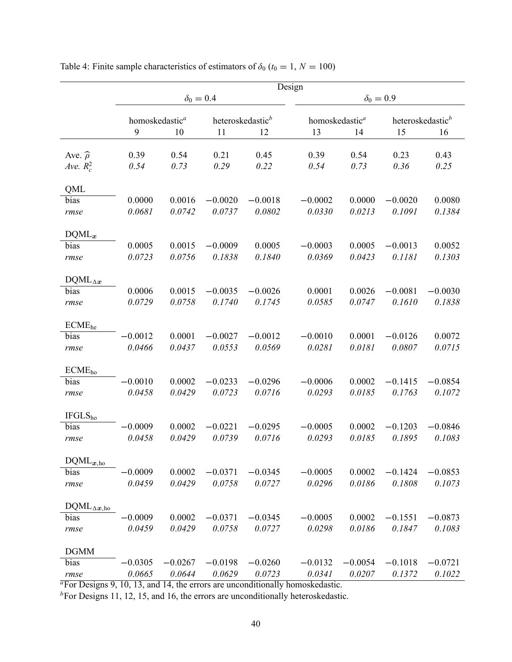|                                       | Design                          |              |                  |                                    |                                  |              |                                    |              |  |
|---------------------------------------|---------------------------------|--------------|------------------|------------------------------------|----------------------------------|--------------|------------------------------------|--------------|--|
|                                       |                                 |              | $\delta_0 = 0.4$ |                                    | $\delta_0 = 0.9$                 |              |                                    |              |  |
|                                       | homoskedastic <sup>a</sup><br>9 | 10           | 11               | heteroskedastic <sup>b</sup><br>12 | homoskedastic <sup>a</sup><br>13 | 14           | heteroskedastic <sup>b</sup><br>15 | 16           |  |
| Ave. $\widehat{\rho}$<br>Ave. $R_c^2$ | 0.39<br>0.54                    | 0.54<br>0.73 | 0.21<br>0.29     | 0.45<br>0.22                       | 0.39<br>0.54                     | 0.54<br>0.73 | 0.23<br>0.36                       | 0.43<br>0.25 |  |
| QML                                   |                                 |              |                  |                                    |                                  |              |                                    |              |  |
| bias                                  | 0.0000                          | 0.0016       | $-0.0020$        | $-0.0018$                          | $-0.0002$                        | 0.0000       | $-0.0020$                          | 0.0080       |  |
| rmse                                  | 0.0681                          | 0.0742       | 0.0737           | 0.0802                             | 0.0330                           | 0.0213       | 0.1091                             | 0.1384       |  |
| $DQML_x$                              |                                 |              |                  |                                    |                                  |              |                                    |              |  |
| bias                                  | 0.0005                          | 0.0015       | $-0.0009$        | 0.0005                             | $-0.0003$                        | 0.0005       | $-0.0013$                          | 0.0052       |  |
| rmse                                  | 0.0723                          | 0.0756       | 0.1838           | 0.1840                             | 0.0369                           | 0.0423       | 0.1181                             | 0.1303       |  |
| $DQML_{\Delta x}$                     |                                 |              |                  |                                    |                                  |              |                                    |              |  |
| bias                                  | 0.0006                          | 0.0015       | $-0.0035$        | $-0.0026$                          | 0.0001                           | 0.0026       | $-0.0081$                          | $-0.0030$    |  |
| rmse                                  | 0.0729                          | 0.0758       | 0.1740           | 0.1745                             | 0.0585                           | 0.0747       | 0.1610                             | 0.1838       |  |
| ECME <sub>he</sub>                    |                                 |              |                  |                                    |                                  |              |                                    |              |  |
| bias                                  | $-0.0012$                       | 0.0001       | $-0.0027$        | $-0.0012$                          | $-0.0010$                        | 0.0001       | $-0.0126$                          | 0.0072       |  |
| rmse                                  | 0.0466                          | 0.0437       | 0.0553           | 0.0569                             | 0.0281                           | 0.0181       | 0.0807                             | 0.0715       |  |
| ECME <sub>ho</sub>                    |                                 |              |                  |                                    |                                  |              |                                    |              |  |
| bias                                  | $-0.0010$                       | 0.0002       | $-0.0233$        | $-0.0296$                          | $-0.0006$                        | 0.0002       | $-0.1415$                          | $-0.0854$    |  |
| rmse                                  | 0.0458                          | 0.0429       | 0.0723           | 0.0716                             | 0.0293                           | 0.0185       | 0.1763                             | 0.1072       |  |
| IFGLS <sub>ho</sub>                   |                                 |              |                  |                                    |                                  |              |                                    |              |  |
| bias                                  | $-0.0009$                       | 0.0002       | $-0.0221$        | $-0.0295$                          | $-0.0005$                        | 0.0002       | $-0.1203$                          | $-0.0846$    |  |
| rmse                                  | 0.0458                          | 0.0429       | 0.0739           | 0.0716                             | 0.0293                           | 0.0185       | 0.1895                             | 0.1083       |  |
| $DQML_{x,ho}$                         |                                 |              |                  |                                    |                                  |              |                                    |              |  |
| bias                                  | $-0.0009$                       | 0.0002       | $-0.0371$        | $-0.0345$                          | $-0.0005$                        | 0.0002       | $-0.1424$                          | $-0.0853$    |  |
| rmse                                  | 0.0459                          | 0.0429       | 0.0758           | 0.0727                             | 0.0296                           | 0.0186       | 0.1808                             | 0.1073       |  |
|                                       |                                 |              |                  |                                    |                                  |              |                                    |              |  |
| $DQML_{\Delta x, ho}$                 |                                 |              |                  |                                    |                                  |              |                                    |              |  |
| bias                                  | $-0.0009$                       | 0.0002       | $-0.0371$        | $-0.0345$                          | $-0.0005$                        | 0.0002       | $-0.1551$                          | $-0.0873$    |  |
| rmse                                  | 0.0459                          | 0.0429       | 0.0758           | 0.0727                             | 0.0298                           | 0.0186       | 0.1847                             | 0.1083       |  |
| <b>DGMM</b>                           |                                 |              |                  |                                    |                                  |              |                                    |              |  |
| bias                                  | $-0.0305$                       | $-0.0267$    | $-0.0198$        | $-0.0260$                          | $-0.0132$                        | $-0.0054$    | $-0.1018$                          | $-0.0721$    |  |
| rmse                                  | 0.0665                          | 0.0644       | 0.0629           | 0.0723                             | 0.0341                           | 0.0207       | 0.1372                             | 0.1022       |  |

Table 4: Finite sample characteristics of estimators of  $\delta_0$  ( $t_0 = 1, N = 100$ )

 $a<sup>a</sup>$  For Designs 9, 10, 13, and 14, the errors are unconditionally homoskedastic.

 ${}^{b}$ For Designs 11, 12, 15, and 16, the errors are unconditionally heteroskedastic.